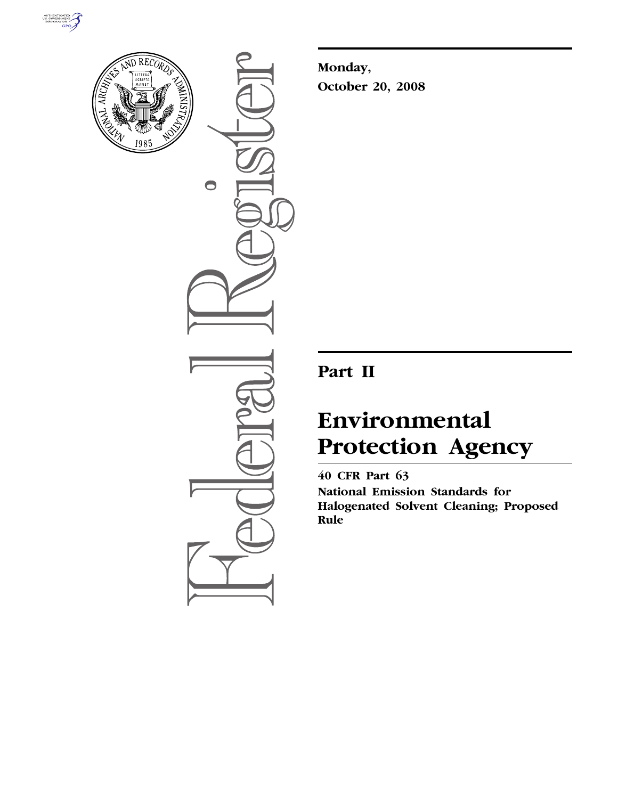



 $\bigcirc$ 

**Monday, October 20, 2008** 

## **Part II**

# **Environmental Protection Agency**

**40 CFR Part 63 National Emission Standards for Halogenated Solvent Cleaning; Proposed Rule**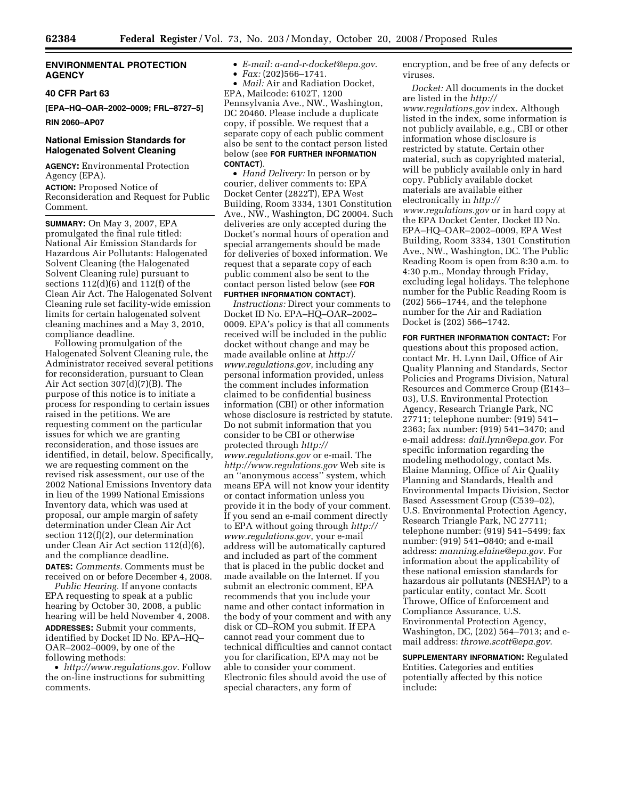#### **ENVIRONMENTAL PROTECTION AGENCY**

#### **40 CFR Part 63**

**[EPA–HQ–OAR–2002–0009; FRL–8727–5]** 

**RIN 2060–AP07** 

#### **National Emission Standards for Halogenated Solvent Cleaning**

**AGENCY:** Environmental Protection Agency (EPA).

**ACTION:** Proposed Notice of Reconsideration and Request for Public Comment.

**SUMMARY:** On May 3, 2007, EPA promulgated the final rule titled: National Air Emission Standards for Hazardous Air Pollutants: Halogenated Solvent Cleaning (the Halogenated Solvent Cleaning rule) pursuant to sections 112(d)(6) and 112(f) of the Clean Air Act. The Halogenated Solvent Cleaning rule set facility-wide emission limits for certain halogenated solvent cleaning machines and a May 3, 2010, compliance deadline.

Following promulgation of the Halogenated Solvent Cleaning rule, the Administrator received several petitions for reconsideration, pursuant to Clean Air Act section  $307(d)(7)(B)$ . The purpose of this notice is to initiate a process for responding to certain issues raised in the petitions. We are requesting comment on the particular issues for which we are granting reconsideration, and those issues are identified, in detail, below. Specifically, we are requesting comment on the revised risk assessment, our use of the 2002 National Emissions Inventory data in lieu of the 1999 National Emissions Inventory data, which was used at proposal, our ample margin of safety determination under Clean Air Act section 112(f)(2), our determination under Clean Air Act section 112(d)(6), and the compliance deadline. **DATES:** *Comments.* Comments must be received on or before December 4, 2008.

*Public Hearing.* If anyone contacts EPA requesting to speak at a public hearing by October 30, 2008, a public hearing will be held November 4, 2008. **ADDRESSES:** Submit your comments, identified by Docket ID No. EPA–HQ– OAR–2002–0009, by one of the following methods:

• *http://www.regulations.gov*. Follow the on-line instructions for submitting comments.

• *E-mail: a-and-r-docket@epa.gov*. • *Fax:* (202)566–1741.

• *Mail:* Air and Radiation Docket, EPA, Mailcode: 6102T, 1200 Pennsylvania Ave., NW., Washington, DC 20460. Please include a duplicate copy, if possible. We request that a separate copy of each public comment also be sent to the contact person listed below (see **FOR FURTHER INFORMATION CONTACT**).

• *Hand Delivery:* In person or by courier, deliver comments to: EPA Docket Center (2822T), EPA West Building, Room 3334, 1301 Constitution Ave., NW., Washington, DC 20004. Such deliveries are only accepted during the Docket's normal hours of operation and special arrangements should be made for deliveries of boxed information. We request that a separate copy of each public comment also be sent to the contact person listed below (see **FOR FURTHER INFORMATION CONTACT**).

*Instructions:* Direct your comments to Docket ID No. EPA–HQ–OAR–2002– 0009. EPA's policy is that all comments received will be included in the public docket without change and may be made available online at *http:// www.regulations.gov*, including any personal information provided, unless the comment includes information claimed to be confidential business information (CBI) or other information whose disclosure is restricted by statute. Do not submit information that you consider to be CBI or otherwise protected through *http:// www.regulations.gov* or e-mail. The *http://www.regulations.gov* Web site is an ''anonymous access'' system, which means EPA will not know your identity or contact information unless you provide it in the body of your comment. If you send an e-mail comment directly to EPA without going through *http:// www.regulations.gov*, your e-mail address will be automatically captured and included as part of the comment that is placed in the public docket and made available on the Internet. If you submit an electronic comment, EPA recommends that you include your name and other contact information in the body of your comment and with any disk or CD–ROM you submit. If EPA cannot read your comment due to technical difficulties and cannot contact you for clarification, EPA may not be able to consider your comment. Electronic files should avoid the use of special characters, any form of

encryption, and be free of any defects or viruses.

*Docket:* All documents in the docket are listed in the *http:// www.regulations.gov* index. Although listed in the index, some information is not publicly available, e.g., CBI or other information whose disclosure is restricted by statute. Certain other material, such as copyrighted material, will be publicly available only in hard copy. Publicly available docket materials are available either electronically in *http:// www.regulations.gov* or in hard copy at the EPA Docket Center, Docket ID No. EPA–HQ–OAR–2002–0009, EPA West Building, Room 3334, 1301 Constitution Ave., NW., Washington, DC. The Public Reading Room is open from 8:30 a.m. to 4:30 p.m., Monday through Friday, excluding legal holidays. The telephone number for the Public Reading Room is (202) 566–1744, and the telephone number for the Air and Radiation Docket is (202) 566–1742.

**FOR FURTHER INFORMATION CONTACT:** For questions about this proposed action, contact Mr. H. Lynn Dail, Office of Air Quality Planning and Standards, Sector Policies and Programs Division, Natural Resources and Commerce Group (E143– 03), U.S. Environmental Protection Agency, Research Triangle Park, NC 27711; telephone number: (919) 541– 2363; fax number: (919) 541–3470; and e-mail address: *dail.lynn@epa.gov*. For specific information regarding the modeling methodology, contact Ms. Elaine Manning, Office of Air Quality Planning and Standards, Health and Environmental Impacts Division, Sector Based Assessment Group (C539–02), U.S. Environmental Protection Agency, Research Triangle Park, NC 27711; telephone number: (919) 541–5499; fax number: (919) 541–0840; and e-mail address: *manning.elaine@epa.gov*. For information about the applicability of these national emission standards for hazardous air pollutants (NESHAP) to a particular entity, contact Mr. Scott Throwe, Office of Enforcement and Compliance Assurance, U.S. Environmental Protection Agency, Washington, DC, (202) 564–7013; and email address: *throwe.scott@epa.gov*.

**SUPPLEMENTARY INFORMATION:** Regulated Entities. Categories and entities potentially affected by this notice include: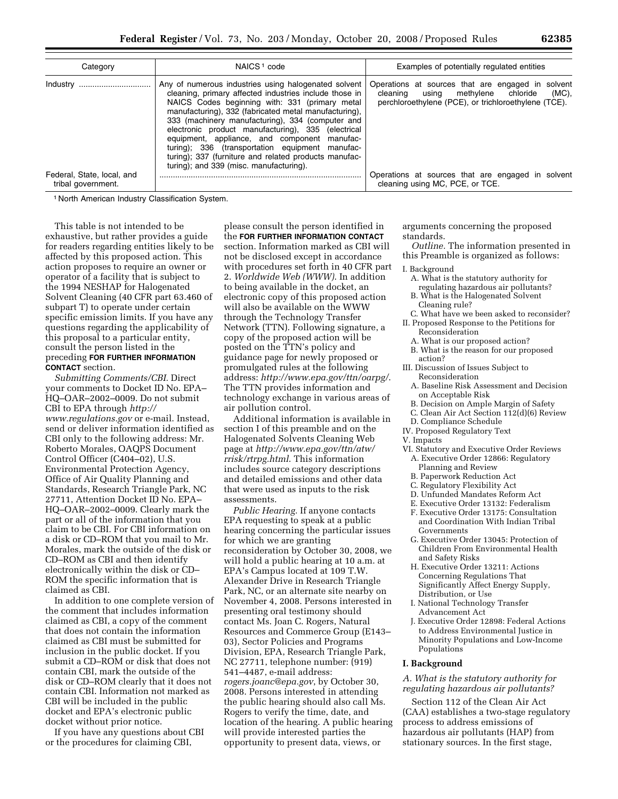| NAICS <sup>1</sup> code<br>Category              |                                                                                                                                                                                                                                                                                                                                                                                                                                                                                                                                            | Examples of potentially regulated entities                                                                                                                 |  |  |  |
|--------------------------------------------------|--------------------------------------------------------------------------------------------------------------------------------------------------------------------------------------------------------------------------------------------------------------------------------------------------------------------------------------------------------------------------------------------------------------------------------------------------------------------------------------------------------------------------------------------|------------------------------------------------------------------------------------------------------------------------------------------------------------|--|--|--|
|                                                  | Any of numerous industries using halogenated solvent<br>cleaning, primary affected industries include those in<br>NAICS Codes beginning with: 331 (primary metal<br>manufacturing), 332 (fabricated metal manufacturing),<br>333 (machinery manufacturing), 334 (computer and<br>electronic product manufacturing), 335 (electrical<br>equipment, appliance, and component manufac-<br>turing); 336 (transportation equipment manufac-<br>turing); 337 (furniture and related products manufac-<br>turing); and 339 (misc. manufacturing). | Operations at sources that are engaged in solvent<br>cleaning using methylene chloride<br>$(MC)$ ,<br>perchloroethylene (PCE), or trichloroethylene (TCE). |  |  |  |
| Federal, State, local, and<br>tribal government. |                                                                                                                                                                                                                                                                                                                                                                                                                                                                                                                                            | Operations at sources that are engaged in solvent<br>cleaning using MC, PCE, or TCE.                                                                       |  |  |  |

1 North American Industry Classification System.

This table is not intended to be exhaustive, but rather provides a guide for readers regarding entities likely to be affected by this proposed action. This action proposes to require an owner or operator of a facility that is subject to the 1994 NESHAP for Halogenated Solvent Cleaning (40 CFR part 63.460 of subpart T) to operate under certain specific emission limits. If you have any questions regarding the applicability of this proposal to a particular entity, consult the person listed in the preceding **FOR FURTHER INFORMATION CONTACT** section.

*Submitting Comments/CBI.* Direct your comments to Docket ID No. EPA– HQ–OAR–2002–0009. Do not submit CBI to EPA through *http:// www.regulations.gov* or e-mail. Instead, send or deliver information identified as CBI only to the following address: Mr. Roberto Morales, OAQPS Document Control Officer (C404–02), U.S. Environmental Protection Agency, Office of Air Quality Planning and Standards, Research Triangle Park, NC 27711, Attention Docket ID No. EPA– HQ–OAR–2002–0009. Clearly mark the part or all of the information that you claim to be CBI. For CBI information on a disk or CD–ROM that you mail to Mr. Morales, mark the outside of the disk or CD–ROM as CBI and then identify electronically within the disk or CD– ROM the specific information that is claimed as CBI.

In addition to one complete version of the comment that includes information claimed as CBI, a copy of the comment that does not contain the information claimed as CBI must be submitted for inclusion in the public docket. If you submit a CD–ROM or disk that does not contain CBI, mark the outside of the disk or CD–ROM clearly that it does not contain CBI. Information not marked as CBI will be included in the public docket and EPA's electronic public docket without prior notice.

If you have any questions about CBI or the procedures for claiming CBI,

please consult the person identified in the **FOR FURTHER INFORMATION CONTACT** section. Information marked as CBI will not be disclosed except in accordance with procedures set forth in 40 CFR part 2. *Worldwide Web (WWW)*. In addition to being available in the docket, an electronic copy of this proposed action will also be available on the WWW through the Technology Transfer Network (TTN). Following signature, a copy of the proposed action will be posted on the TTN's policy and guidance page for newly proposed or promulgated rules at the following address: *http://www.epa.gov/ttn/oarpg/*. The TTN provides information and technology exchange in various areas of air pollution control.

Additional information is available in section I of this preamble and on the Halogenated Solvents Cleaning Web page at *http://www.epa.gov/ttn/atw/ rrisk/rtrpg.html*. This information includes source category descriptions and detailed emissions and other data that were used as inputs to the risk assessments.

*Public Hearing.* If anyone contacts EPA requesting to speak at a public hearing concerning the particular issues for which we are granting reconsideration by October 30, 2008, we will hold a public hearing at 10 a.m. at EPA's Campus located at 109 T.W. Alexander Drive in Research Triangle Park, NC, or an alternate site nearby on November 4, 2008. Persons interested in presenting oral testimony should contact Ms. Joan C. Rogers, Natural Resources and Commerce Group (E143– 03), Sector Policies and Programs Division, EPA, Research Triangle Park, NC 27711, telephone number: (919) 541–4487, e-mail address: *rogers.joanc@epa.gov*, by October 30, 2008. Persons interested in attending the public hearing should also call Ms. Rogers to verify the time, date, and location of the hearing. A public hearing will provide interested parties the opportunity to present data, views, or

arguments concerning the proposed standards.

*Outline.* The information presented in this Preamble is organized as follows:

#### I. Background

- A. What is the statutory authority for regulating hazardous air pollutants?
- B. What is the Halogenated Solvent
- Cleaning rule?
- C. What have we been asked to reconsider? II. Proposed Response to the Petitions for
	- Reconsideration
- A. What is our proposed action?
- B. What is the reason for our proposed action?
- III. Discussion of Issues Subject to Reconsideration
	- A. Baseline Risk Assessment and Decision on Acceptable Risk
	- B. Decision on Ample Margin of Safety
- C. Clean Air Act Section 112(d)(6) Review
- D. Compliance Schedule
- IV. Proposed Regulatory Text
- V. Impacts
- VI. Statutory and Executive Order Reviews A. Executive Order 12866: Regulatory
	- Planning and Review
	- B. Paperwork Reduction Act
	- C. Regulatory Flexibility Act
	- D. Unfunded Mandates Reform Act
	- E. Executive Order 13132: Federalism
	- F. Executive Order 13175: Consultation and Coordination With Indian Tribal Governments
	- G. Executive Order 13045: Protection of Children From Environmental Health and Safety Risks
- H. Executive Order 13211: Actions Concerning Regulations That Significantly Affect Energy Supply, Distribution, or Use
- I. National Technology Transfer Advancement Act
- J. Executive Order 12898: Federal Actions to Address Environmental Justice in Minority Populations and Low-Income Populations

#### **I. Background**

#### *A. What is the statutory authority for regulating hazardous air pollutants?*

Section 112 of the Clean Air Act (CAA) establishes a two-stage regulatory process to address emissions of hazardous air pollutants (HAP) from stationary sources. In the first stage,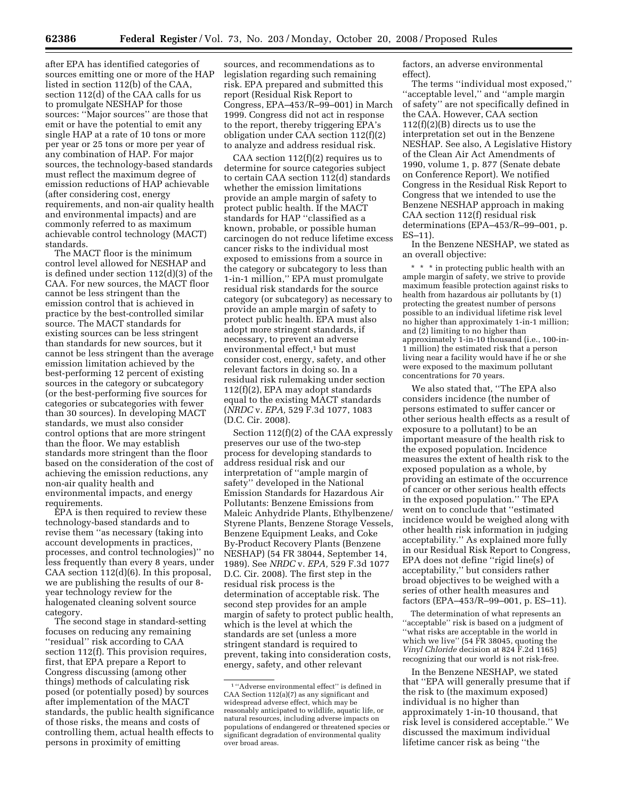after EPA has identified categories of sources emitting one or more of the HAP listed in section 112(b) of the CAA, section 112(d) of the CAA calls for us to promulgate NESHAP for those sources: ''Major sources'' are those that emit or have the potential to emit any single HAP at a rate of 10 tons or more per year or 25 tons or more per year of any combination of HAP. For major sources, the technology-based standards must reflect the maximum degree of emission reductions of HAP achievable (after considering cost, energy requirements, and non-air quality health and environmental impacts) and are commonly referred to as maximum achievable control technology (MACT) standards.

The MACT floor is the minimum control level allowed for NESHAP and is defined under section 112(d)(3) of the CAA. For new sources, the MACT floor cannot be less stringent than the emission control that is achieved in practice by the best-controlled similar source. The MACT standards for existing sources can be less stringent than standards for new sources, but it cannot be less stringent than the average emission limitation achieved by the best-performing 12 percent of existing sources in the category or subcategory (or the best-performing five sources for categories or subcategories with fewer than 30 sources). In developing MACT standards, we must also consider control options that are more stringent than the floor. We may establish standards more stringent than the floor based on the consideration of the cost of achieving the emission reductions, any non-air quality health and environmental impacts, and energy requirements.

EPA is then required to review these technology-based standards and to revise them ''as necessary (taking into account developments in practices, processes, and control technologies)'' no less frequently than every 8 years, under CAA section 112(d)(6). In this proposal, we are publishing the results of our 8 year technology review for the halogenated cleaning solvent source category.

The second stage in standard-setting focuses on reducing any remaining ''residual'' risk according to CAA section 112(f). This provision requires, first, that EPA prepare a Report to Congress discussing (among other things) methods of calculating risk posed (or potentially posed) by sources after implementation of the MACT standards, the public health significance of those risks, the means and costs of controlling them, actual health effects to persons in proximity of emitting

sources, and recommendations as to legislation regarding such remaining risk. EPA prepared and submitted this report (Residual Risk Report to Congress, EPA–453/R–99–001) in March 1999. Congress did not act in response to the report, thereby triggering EPA's obligation under CAA section 112(f)(2) to analyze and address residual risk.

CAA section  $112(f)(2)$  requires us to determine for source categories subject to certain CAA section 112(d) standards whether the emission limitations provide an ample margin of safety to protect public health. If the MACT standards for HAP ''classified as a known, probable, or possible human carcinogen do not reduce lifetime excess cancer risks to the individual most exposed to emissions from a source in the category or subcategory to less than 1-in-1 million,'' EPA must promulgate residual risk standards for the source category (or subcategory) as necessary to provide an ample margin of safety to protect public health. EPA must also adopt more stringent standards, if necessary, to prevent an adverse environmental effect,<sup>1</sup> but must consider cost, energy, safety, and other relevant factors in doing so. In a residual risk rulemaking under section 112(f)(2), EPA may adopt standards equal to the existing MACT standards (*NRDC* v. *EPA,* 529 F.3d 1077, 1083 (D.C. Cir. 2008).

Section 112(f)(2) of the CAA expressly preserves our use of the two-step process for developing standards to address residual risk and our interpretation of ''ample margin of safety'' developed in the National Emission Standards for Hazardous Air Pollutants: Benzene Emissions from Maleic Anhydride Plants, Ethylbenzene/ Styrene Plants, Benzene Storage Vessels, Benzene Equipment Leaks, and Coke By-Product Recovery Plants (Benzene NESHAP) (54 FR 38044, September 14, 1989). See *NRDC* v. *EPA,* 529 F.3d 1077 D.C. Cir. 2008). The first step in the residual risk process is the determination of acceptable risk. The second step provides for an ample margin of safety to protect public health, which is the level at which the standards are set (unless a more stringent standard is required to prevent, taking into consideration costs, energy, safety, and other relevant

factors, an adverse environmental effect).

The terms ''individual most exposed,'' ''acceptable level,'' and ''ample margin of safety'' are not specifically defined in the CAA. However, CAA section 112(f)(2)(B) directs us to use the interpretation set out in the Benzene NESHAP. See also, A Legislative History of the Clean Air Act Amendments of 1990, volume 1, p. 877 (Senate debate on Conference Report). We notified Congress in the Residual Risk Report to Congress that we intended to use the Benzene NESHAP approach in making CAA section 112(f) residual risk determinations (EPA–453/R–99–001, p. ES–11).

In the Benzene NESHAP, we stated as an overall objective:

\* \* \* in protecting public health with an ample margin of safety, we strive to provide maximum feasible protection against risks to health from hazardous air pollutants by (1) protecting the greatest number of persons possible to an individual lifetime risk level no higher than approximately 1-in-1 million; and (2) limiting to no higher than approximately 1-in-10 thousand (i.e., 100-in-1 million) the estimated risk that a person living near a facility would have if he or she were exposed to the maximum pollutant concentrations for 70 years.

We also stated that, ''The EPA also considers incidence (the number of persons estimated to suffer cancer or other serious health effects as a result of exposure to a pollutant) to be an important measure of the health risk to the exposed population. Incidence measures the extent of health risk to the exposed population as a whole, by providing an estimate of the occurrence of cancer or other serious health effects in the exposed population.'' The EPA went on to conclude that ''estimated incidence would be weighed along with other health risk information in judging acceptability.'' As explained more fully in our Residual Risk Report to Congress, EPA does not define ''rigid line(s) of acceptability,'' but considers rather broad objectives to be weighed with a series of other health measures and factors (EPA–453/R–99–001, p. ES–11).

The determination of what represents an ''acceptable'' risk is based on a judgment of ''what risks are acceptable in the world in which we live'' (54 FR 38045, quoting the *Vinyl Chloride* decision at 824 F.2d 1165) recognizing that our world is not risk-free.

In the Benzene NESHAP, we stated that ''EPA will generally presume that if the risk to (the maximum exposed) individual is no higher than approximately 1-in-10 thousand, that risk level is considered acceptable.'' We discussed the maximum individual lifetime cancer risk as being ''the

 $^{\rm 1\,\prime\prime}\!\!\operatorname{Adverse}$  environmental effect'' is defined in CAA Section 112(a)(7) as any significant and widespread adverse effect, which may be reasonably anticipated to wildlife, aquatic life, or natural resources, including adverse impacts on populations of endangered or threatened species or significant degradation of environmental quality over broad areas.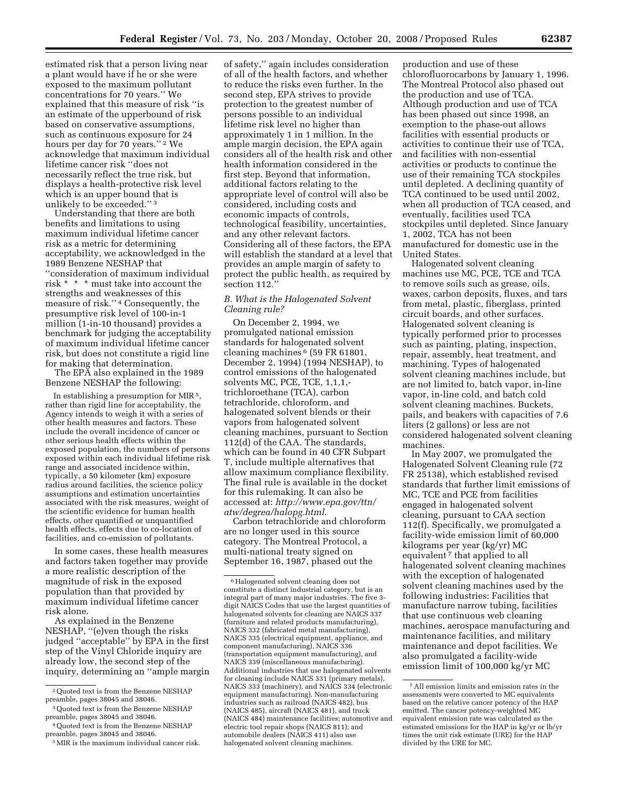estimated risk that a person living near a plant would have if he or she were exposed to the maximum pollutant concentrations for 70 years.'' We explained that this measure of risk ''is an estimate of the upperbound of risk based on conservative assumptions, such as continuous exposure for 24 hours per day for 70 years."<sup>2</sup> We acknowledge that maximum individual lifetime cancer risk ''does not necessarily reflect the true risk, but displays a health-protective risk level which is an upper bound that is unlikely to be exceeded.'' 3

Understanding that there are both benefits and limitations to using maximum individual lifetime cancer risk as a metric for determining acceptability, we acknowledged in the 1989 Benzene NESHAP that ''consideration of maximum individual risk \* \* \* must take into account the strengths and weaknesses of this measure of risk.'' 4 Consequently, the presumptive risk level of 100-in-1 million (1-in-10 thousand) provides a benchmark for judging the acceptability of maximum individual lifetime cancer risk, but does not constitute a rigid line for making that determination.

The EPA also explained in the 1989 Benzene NESHAP the following:

In establishing a presumption for MIR<sup>5</sup>, rather than rigid line for acceptability, the Agency intends to weigh it with a series of other health measures and factors. These include the overall incidence of cancer or other serious health effects within the exposed population, the numbers of persons exposed within each individual lifetime risk range and associated incidence within, typically, a 50 kilometer (km) exposure radius around facilities, the science policy assumptions and estimation uncertainties associated with the risk measures, weight of the scientific evidence for human health effects, other quantified or unquantified health effects, effects due to co-location of facilities, and co-emission of pollutants.

In some cases, these health measures and factors taken together may provide a more realistic description of the magnitude of risk in the exposed population than that provided by maximum individual lifetime cancer risk alone.

As explained in the Benzene NESHAP, ''(e)ven though the risks judged ''acceptable'' by EPA in the first step of the Vinyl Chloride inquiry are already low, the second step of the inquiry, determining an ''ample margin

of safety,'' again includes consideration of all of the health factors, and whether to reduce the risks even further. In the second step, EPA strives to provide protection to the greatest number of persons possible to an individual lifetime risk level no higher than approximately 1 in 1 million. In the ample margin decision, the EPA again considers all of the health risk and other health information considered in the first step. Beyond that information, additional factors relating to the appropriate level of control will also be considered, including costs and economic impacts of controls, technological feasibility, uncertainties, and any other relevant factors. Considering all of these factors, the EPA will establish the standard at a level that provides an ample margin of safety to protect the public health, as required by section 112.''

#### *B. What is the Halogenated Solvent Cleaning rule?*

On December 2, 1994, we promulgated national emission standards for halogenated solvent cleaning machines 6 (59 FR 61801, December 2, 1994) (1994 NESHAP), to control emissions of the halogenated solvents MC, PCE, TCE, 1,1,1,trichloroethane (TCA), carbon tetrachloride, chloroform, and halogenated solvent blends or their vapors from halogenated solvent cleaning machines, pursuant to Section 112(d) of the CAA. The standards, which can be found in 40 CFR Subpart T, include multiple alternatives that allow maximum compliance flexibility. The final rule is available in the docket for this rulemaking. It can also be accessed at: *http://www.epa.gov/ttn/ atw/degrea/halopg.html*.

Carbon tetrachloride and chloroform are no longer used in this source category. The Montreal Protocol, a multi-national treaty signed on September 16, 1987, phased out the

production and use of these chlorofluorocarbons by January 1, 1996. The Montreal Protocol also phased out the production and use of TCA. Although production and use of TCA has been phased out since 1998, an exemption to the phase-out allows facilities with essential products or activities to continue their use of TCA, and facilities with non-essential activities or products to continue the use of their remaining TCA stockpiles until depleted. A declining quantity of TCA continued to be used until 2002, when all production of TCA ceased, and eventually, facilities used TCA stockpiles until depleted. Since January 1, 2002, TCA has not been manufactured for domestic use in the United States.

Halogenated solvent cleaning machines use MC, PCE, TCE and TCA to remove soils such as grease, oils, waxes, carbon deposits, fluxes, and tars from metal, plastic, fiberglass, printed circuit boards, and other surfaces. Halogenated solvent cleaning is typically performed prior to processes such as painting, plating, inspection, repair, assembly, heat treatment, and machining. Types of halogenated solvent cleaning machines include, but are not limited to, batch vapor, in-line vapor, in-line cold, and batch cold solvent cleaning machines. Buckets, pails, and beakers with capacities of 7.6 liters (2 gallons) or less are not considered halogenated solvent cleaning machines.

In May 2007, we promulgated the Halogenated Solvent Cleaning rule (72 FR 25138), which established revised standards that further limit emissions of MC, TCE and PCE from facilities engaged in halogenated solvent cleaning, pursuant to CAA section 112(f). Specifically, we promulgated a facility-wide emission limit of 60,000 kilograms per year (kg/yr) MC equivalent 7 that applied to all halogenated solvent cleaning machines with the exception of halogenated solvent cleaning machines used by the following industries: Facilities that manufacture narrow tubing, facilities that use continuous web cleaning machines, aerospace manufacturing and maintenance facilities, and military maintenance and depot facilities. We also promulgated a facility-wide emission limit of 100,000 kg/yr MC

<sup>2</sup>Quoted text is from the Benzene NESHAP preamble, pages 38045 and 38046.

<sup>3</sup>Quoted text is from the Benzene NESHAP preamble, pages 38045 and 38046.

<sup>4</sup>Quoted text is from the Benzene NESHAP preamble, pages 38045 and 38046.

<sup>5</sup>MIR is the maximum individual cancer risk.

 $^{\rm 6}\textsc{Halogenated}$  solvent cleaning does not constitute a distinct industrial category, but is an integral part of many major industries. The five 3 digit NAICS Codes that use the largest quantities of halogenated solvents for cleaning are NAICS 337 (furniture and related products manufacturing), NAICS 332 (fabricated metal manufacturing), NAICS 335 (electrical equipment, appliance, and component manufacturing), NAICS 336 (transportation equipment manufacturing), and NAICS 339 (miscellaneous manufacturing). Additional industries that use halogenated solvents for cleaning include NAICS 331 (primary metals), NAICS 333 (machinery), and NAICS 334 (electronic equipment manufacturing). Non-manufacturing industries such as railroad (NAICS 482), bus (NAICS 485), aircraft (NAICS 481), and truck (NAICS 484) maintenance facilities; automotive and electric tool repair shops (NAICS 811); and automobile dealers (NAICS 411) also use halogenated solvent cleaning machines.

<sup>7</sup>All emission limits and emission rates in the assessments were converted to MC equivalents based on the relative cancer potency of the HAP emitted. The cancer potency-weighted MC equivalent emission rate was calculated as the estimated emissions for the HAP in kg/yr or lb/yr times the unit risk estimate (URE) for the HAP divided by the URE for MC.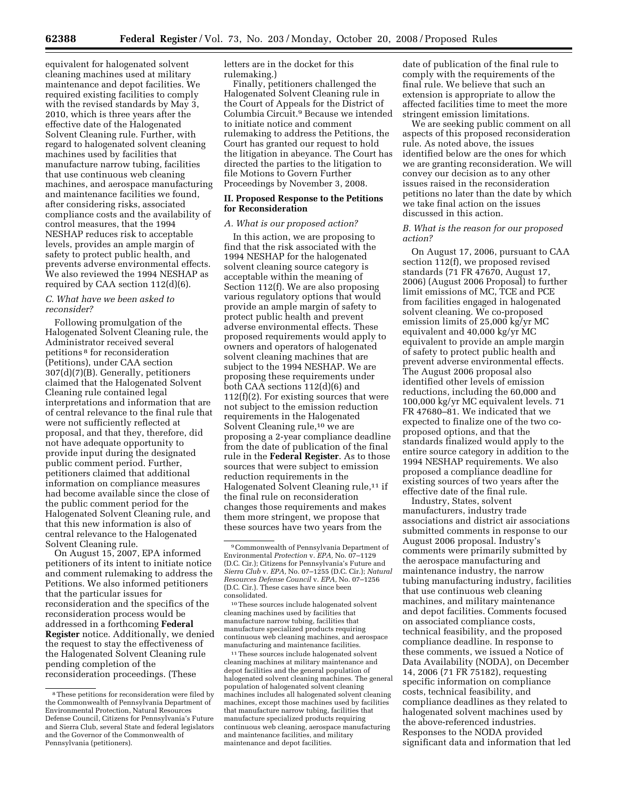equivalent for halogenated solvent cleaning machines used at military maintenance and depot facilities. We required existing facilities to comply with the revised standards by May 3, 2010, which is three years after the effective date of the Halogenated Solvent Cleaning rule. Further, with regard to halogenated solvent cleaning machines used by facilities that manufacture narrow tubing, facilities that use continuous web cleaning machines, and aerospace manufacturing and maintenance facilities we found, after considering risks, associated compliance costs and the availability of control measures, that the 1994 NESHAP reduces risk to acceptable levels, provides an ample margin of safety to protect public health, and prevents adverse environmental effects. We also reviewed the 1994 NESHAP as required by CAA section 112(d)(6).

#### *C. What have we been asked to reconsider?*

Following promulgation of the Halogenated Solvent Cleaning rule, the Administrator received several petitions 8 for reconsideration (Petitions), under CAA section 307(d)(7)(B). Generally, petitioners claimed that the Halogenated Solvent Cleaning rule contained legal interpretations and information that are of central relevance to the final rule that were not sufficiently reflected at proposal, and that they, therefore, did not have adequate opportunity to provide input during the designated public comment period. Further, petitioners claimed that additional information on compliance measures had become available since the close of the public comment period for the Halogenated Solvent Cleaning rule, and that this new information is also of central relevance to the Halogenated Solvent Cleaning rule.

On August 15, 2007, EPA informed petitioners of its intent to initiate notice and comment rulemaking to address the Petitions. We also informed petitioners that the particular issues for reconsideration and the specifics of the reconsideration process would be addressed in a forthcoming **Federal Register** notice. Additionally, we denied the request to stay the effectiveness of the Halogenated Solvent Cleaning rule pending completion of the reconsideration proceedings. (These

letters are in the docket for this rulemaking.)

Finally, petitioners challenged the Halogenated Solvent Cleaning rule in the Court of Appeals for the District of Columbia Circuit.9 Because we intended to initiate notice and comment rulemaking to address the Petitions, the Court has granted our request to hold the litigation in abeyance. The Court has directed the parties to the litigation to file Motions to Govern Further Proceedings by November 3, 2008.

#### **II. Proposed Response to the Petitions for Reconsideration**

### *A. What is our proposed action?*

In this action, we are proposing to find that the risk associated with the 1994 NESHAP for the halogenated solvent cleaning source category is acceptable within the meaning of Section 112(f). We are also proposing various regulatory options that would provide an ample margin of safety to protect public health and prevent adverse environmental effects. These proposed requirements would apply to owners and operators of halogenated solvent cleaning machines that are subject to the 1994 NESHAP. We are proposing these requirements under both CAA sections 112(d)(6) and 112(f)(2). For existing sources that were not subject to the emission reduction requirements in the Halogenated Solvent Cleaning rule,10 we are proposing a 2-year compliance deadline from the date of publication of the final rule in the **Federal Register**. As to those sources that were subject to emission reduction requirements in the Halogenated Solvent Cleaning rule,<sup>11</sup> if the final rule on reconsideration changes those requirements and makes them more stringent, we propose that these sources have two years from the

10These sources include halogenated solvent cleaning machines used by facilities that manufacture narrow tubing, facilities that manufacture specialized products requiring continuous web cleaning machines, and aerospace manufacturing and maintenance facilities.

<sup>11</sup>These sources include halogenated solvent cleaning machines at military maintenance and depot facilities and the general population of halogenated solvent cleaning machines. The general population of halogenated solvent cleaning machines includes all halogenated solvent cleaning machines, except those machines used by faciliti that manufacture narrow tubing, facilities that manufacture specialized products requiring continuous web cleaning, aerospace manufacturing and maintenance facilities, and military maintenance and depot facilities.

date of publication of the final rule to comply with the requirements of the final rule. We believe that such an extension is appropriate to allow the affected facilities time to meet the more stringent emission limitations.

We are seeking public comment on all aspects of this proposed reconsideration rule. As noted above, the issues identified below are the ones for which we are granting reconsideration. We will convey our decision as to any other issues raised in the reconsideration petitions no later than the date by which we take final action on the issues discussed in this action.

#### *B. What is the reason for our proposed action?*

On August 17, 2006, pursuant to CAA section 112(f), we proposed revised standards (71 FR 47670, August 17, 2006) (August 2006 Proposal) to further limit emissions of MC, TCE and PCE from facilities engaged in halogenated solvent cleaning. We co-proposed emission limits of 25,000 kg/yr MC equivalent and 40,000 kg/yr MC equivalent to provide an ample margin of safety to protect public health and prevent adverse environmental effects. The August 2006 proposal also identified other levels of emission reductions, including the 60,000 and 100,000 kg/yr MC equivalent levels. 71 FR 47680–81. We indicated that we expected to finalize one of the two coproposed options, and that the standards finalized would apply to the entire source category in addition to the 1994 NESHAP requirements. We also proposed a compliance deadline for existing sources of two years after the effective date of the final rule.

Industry, States, solvent manufacturers, industry trade associations and district air associations submitted comments in response to our August 2006 proposal. Industry's comments were primarily submitted by the aerospace manufacturing and maintenance industry, the narrow tubing manufacturing industry, facilities that use continuous web cleaning machines, and military maintenance and depot facilities. Comments focused on associated compliance costs, technical feasibility, and the proposed compliance deadline. In response to these comments, we issued a Notice of Data Availability (NODA), on December 14, 2006 (71 FR 75182), requesting specific information on compliance costs, technical feasibility, and compliance deadlines as they related to halogenated solvent machines used by the above-referenced industries. Responses to the NODA provided significant data and information that led

<sup>8</sup>These petitions for reconsideration were filed by the Commonwealth of Pennsylvania Department of Environmental Protection, Natural Resources Defense Council, Citizens for Pennsylvania's Future and Sierra Club, several State and federal legislators and the Governor of the Commonwealth of Pennsylvania (petitioners).

<sup>9</sup>Commonwealth of Pennsylvania Department of Environmental *Protection* v. *EPA,* No. 07–1129 (D.C. Cir.); Citizens for Pennsylvania's Future and *Sierra Club* v. *EPA,* No. 07–1255 (D.C. Cir.); *Natural Resources Defense Council* v. *EPA,* No. 07–1256 (D.C. Cir.). These cases have since been consolidated.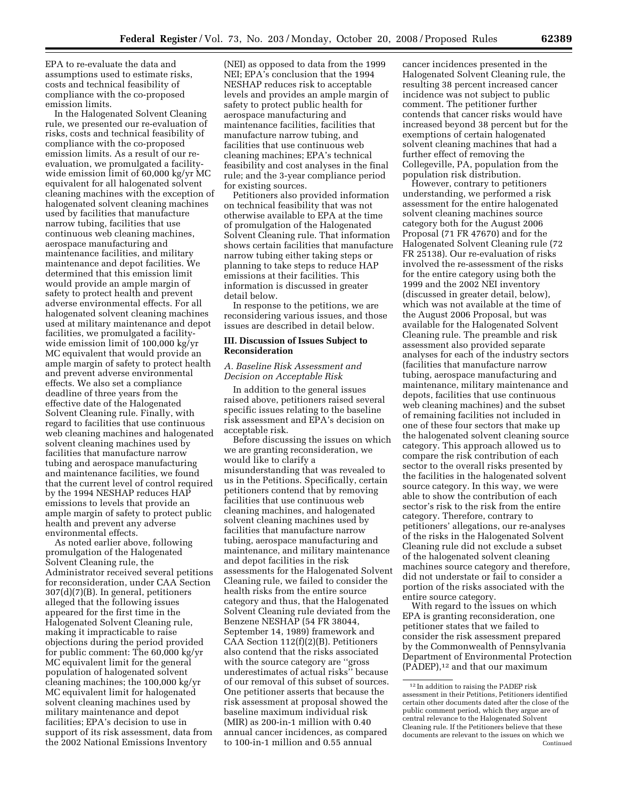EPA to re-evaluate the data and assumptions used to estimate risks, costs and technical feasibility of compliance with the co-proposed emission limits.

In the Halogenated Solvent Cleaning rule, we presented our re-evaluation of risks, costs and technical feasibility of compliance with the co-proposed emission limits. As a result of our reevaluation, we promulgated a facilitywide emission limit of 60,000 kg/yr MC equivalent for all halogenated solvent cleaning machines with the exception of halogenated solvent cleaning machines used by facilities that manufacture narrow tubing, facilities that use continuous web cleaning machines, aerospace manufacturing and maintenance facilities, and military maintenance and depot facilities. We determined that this emission limit would provide an ample margin of safety to protect health and prevent adverse environmental effects. For all halogenated solvent cleaning machines used at military maintenance and depot facilities, we promulgated a facilitywide emission limit of 100,000 kg/yr MC equivalent that would provide an ample margin of safety to protect health and prevent adverse environmental effects. We also set a compliance deadline of three years from the effective date of the Halogenated Solvent Cleaning rule. Finally, with regard to facilities that use continuous web cleaning machines and halogenated solvent cleaning machines used by facilities that manufacture narrow tubing and aerospace manufacturing and maintenance facilities, we found that the current level of control required by the 1994 NESHAP reduces HAP emissions to levels that provide an ample margin of safety to protect public health and prevent any adverse environmental effects.

As noted earlier above, following promulgation of the Halogenated Solvent Cleaning rule, the Administrator received several petitions for reconsideration, under CAA Section 307(d)(7)(B). In general, petitioners alleged that the following issues appeared for the first time in the Halogenated Solvent Cleaning rule, making it impracticable to raise objections during the period provided for public comment: The 60,000 kg/yr MC equivalent limit for the general population of halogenated solvent cleaning machines; the 100,000 kg/yr MC equivalent limit for halogenated solvent cleaning machines used by military maintenance and depot facilities; EPA's decision to use in support of its risk assessment, data from the 2002 National Emissions Inventory

(NEI) as opposed to data from the 1999 NEI; EPA's conclusion that the 1994 NESHAP reduces risk to acceptable levels and provides an ample margin of safety to protect public health for aerospace manufacturing and maintenance facilities, facilities that manufacture narrow tubing, and facilities that use continuous web cleaning machines; EPA's technical feasibility and cost analyses in the final rule; and the 3-year compliance period for existing sources.

Petitioners also provided information on technical feasibility that was not otherwise available to EPA at the time of promulgation of the Halogenated Solvent Cleaning rule. That information shows certain facilities that manufacture narrow tubing either taking steps or planning to take steps to reduce HAP emissions at their facilities. This information is discussed in greater detail below.

In response to the petitions, we are reconsidering various issues, and those issues are described in detail below.

#### **III. Discussion of Issues Subject to Reconsideration**

#### *A. Baseline Risk Assessment and Decision on Acceptable Risk*

In addition to the general issues raised above, petitioners raised several specific issues relating to the baseline risk assessment and EPA's decision on acceptable risk.

Before discussing the issues on which we are granting reconsideration, we would like to clarify a misunderstanding that was revealed to us in the Petitions. Specifically, certain petitioners contend that by removing facilities that use continuous web cleaning machines, and halogenated solvent cleaning machines used by facilities that manufacture narrow tubing, aerospace manufacturing and maintenance, and military maintenance and depot facilities in the risk assessments for the Halogenated Solvent Cleaning rule, we failed to consider the health risks from the entire source category and thus, that the Halogenated Solvent Cleaning rule deviated from the Benzene NESHAP (54 FR 38044, September 14, 1989) framework and CAA Section 112(f)(2)(B). Petitioners also contend that the risks associated with the source category are ''gross underestimates of actual risks'' because of our removal of this subset of sources. One petitioner asserts that because the risk assessment at proposal showed the baseline maximum individual risk (MIR) as 200-in-1 million with 0.40 annual cancer incidences, as compared to 100-in-1 million and 0.55 annual

cancer incidences presented in the Halogenated Solvent Cleaning rule, the resulting 38 percent increased cancer incidence was not subject to public comment. The petitioner further contends that cancer risks would have increased beyond 38 percent but for the exemptions of certain halogenated solvent cleaning machines that had a further effect of removing the Collegeville, PA, population from the population risk distribution.

However, contrary to petitioners understanding, we performed a risk assessment for the entire halogenated solvent cleaning machines source category both for the August 2006 Proposal (71 FR 47670) and for the Halogenated Solvent Cleaning rule (72 FR 25138). Our re-evaluation of risks involved the re-assessment of the risks for the entire category using both the 1999 and the 2002 NEI inventory (discussed in greater detail, below), which was not available at the time of the August 2006 Proposal, but was available for the Halogenated Solvent Cleaning rule. The preamble and risk assessment also provided separate analyses for each of the industry sectors (facilities that manufacture narrow tubing, aerospace manufacturing and maintenance, military maintenance and depots, facilities that use continuous web cleaning machines) and the subset of remaining facilities not included in one of these four sectors that make up the halogenated solvent cleaning source category. This approach allowed us to compare the risk contribution of each sector to the overall risks presented by the facilities in the halogenated solvent source category. In this way, we were able to show the contribution of each sector's risk to the risk from the entire category. Therefore, contrary to petitioners' allegations, our re-analyses of the risks in the Halogenated Solvent Cleaning rule did not exclude a subset of the halogenated solvent cleaning machines source category and therefore, did not understate or fail to consider a portion of the risks associated with the entire source category.

With regard to the issues on which EPA is granting reconsideration, one petitioner states that we failed to consider the risk assessment prepared by the Commonwealth of Pennsylvania Department of Environmental Protection (PADEP),12 and that our maximum

<sup>12</sup> In addition to raising the PADEP risk assessment in their Petitions, Petitioners identified certain other documents dated after the close of the public comment period, which they argue are of central relevance to the Halogenated Solvent Cleaning rule. If the Petitioners believe that these documents are relevant to the issues on which we Continued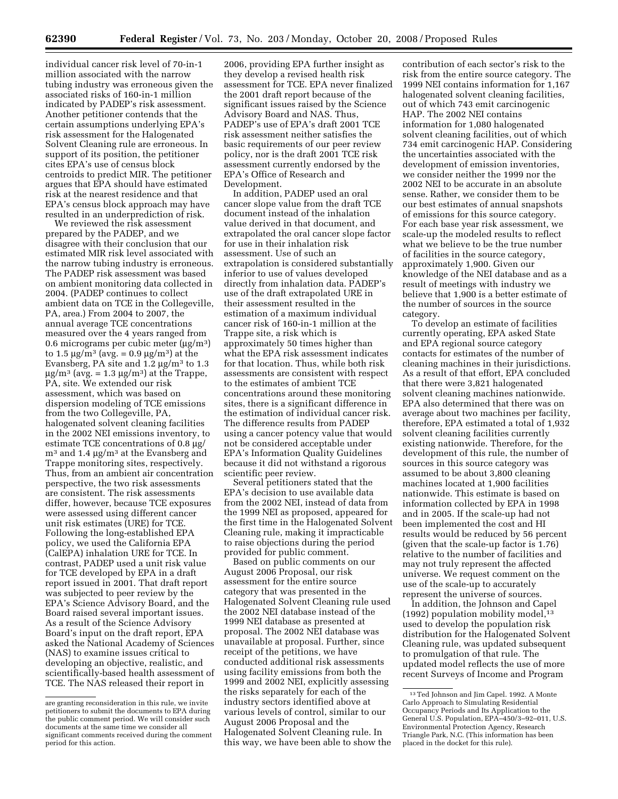individual cancer risk level of 70-in-1 million associated with the narrow tubing industry was erroneous given the associated risks of 160-in-1 million indicated by PADEP's risk assessment. Another petitioner contends that the certain assumptions underlying EPA's risk assessment for the Halogenated Solvent Cleaning rule are erroneous. In support of its position, the petitioner cites EPA's use of census block centroids to predict MIR. The petitioner argues that EPA should have estimated risk at the nearest residence and that EPA's census block approach may have resulted in an underprediction of risk.

We reviewed the risk assessment prepared by the PADEP, and we disagree with their conclusion that our estimated MIR risk level associated with the narrow tubing industry is erroneous. The PADEP risk assessment was based on ambient monitoring data collected in 2004. (PADEP continues to collect ambient data on TCE in the Collegeville, PA, area.) From 2004 to 2007, the annual average TCE concentrations measured over the 4 years ranged from 0.6 micrograms per cubic meter  $(\mu g/m^3)$ to 1.5  $\mu$ g/m<sup>3</sup> (avg. = 0.9  $\mu$ g/m<sup>3</sup>) at the Evansberg, PA site and  $1.2 \mu$ g/m<sup>3</sup> to  $1.3$  $\mu$ g/m<sup>3</sup> (avg. = 1.3  $\mu$ g/m<sup>3</sup>) at the Trappe, PA, site. We extended our risk assessment, which was based on dispersion modeling of TCE emissions from the two Collegeville, PA, halogenated solvent cleaning facilities in the 2002 NEI emissions inventory, to estimate TCE concentrations of 0.8 µg/  $m<sup>3</sup>$  and 1.4  $\mu$ g/m<sup>3</sup> at the Evansberg and Trappe monitoring sites, respectively. Thus, from an ambient air concentration perspective, the two risk assessments are consistent. The risk assessments differ, however, because TCE exposures were assessed using different cancer unit risk estimates (URE) for TCE. Following the long-established EPA policy, we used the California EPA (CalEPA) inhalation URE for TCE. In contrast, PADEP used a unit risk value for TCE developed by EPA in a draft report issued in 2001. That draft report was subjected to peer review by the EPA's Science Advisory Board, and the Board raised several important issues. As a result of the Science Advisory Board's input on the draft report, EPA asked the National Academy of Sciences (NAS) to examine issues critical to developing an objective, realistic, and scientifically-based health assessment of TCE. The NAS released their report in

2006, providing EPA further insight as they develop a revised health risk assessment for TCE. EPA never finalized the 2001 draft report because of the significant issues raised by the Science Advisory Board and NAS. Thus, PADEP's use of EPA's draft 2001 TCE risk assessment neither satisfies the basic requirements of our peer review policy, nor is the draft 2001 TCE risk assessment currently endorsed by the EPA's Office of Research and Development.

In addition, PADEP used an oral cancer slope value from the draft TCE document instead of the inhalation value derived in that document, and extrapolated the oral cancer slope factor for use in their inhalation risk assessment. Use of such an extrapolation is considered substantially inferior to use of values developed directly from inhalation data. PADEP's use of the draft extrapolated URE in their assessment resulted in the estimation of a maximum individual cancer risk of 160-in-1 million at the Trappe site, a risk which is approximately 50 times higher than what the EPA risk assessment indicates for that location. Thus, while both risk assessments are consistent with respect to the estimates of ambient TCE concentrations around these monitoring sites, there is a significant difference in the estimation of individual cancer risk. The difference results from PADEP using a cancer potency value that would not be considered acceptable under EPA's Information Quality Guidelines because it did not withstand a rigorous scientific peer review.

Several petitioners stated that the EPA's decision to use available data from the 2002 NEI, instead of data from the 1999 NEI as proposed, appeared for the first time in the Halogenated Solvent Cleaning rule, making it impracticable to raise objections during the period provided for public comment.

Based on public comments on our August 2006 Proposal, our risk assessment for the entire source category that was presented in the Halogenated Solvent Cleaning rule used the 2002 NEI database instead of the 1999 NEI database as presented at proposal. The 2002 NEI database was unavailable at proposal. Further, since receipt of the petitions, we have conducted additional risk assessments using facility emissions from both the 1999 and 2002 NEI, explicitly assessing the risks separately for each of the industry sectors identified above at various levels of control, similar to our August 2006 Proposal and the Halogenated Solvent Cleaning rule. In this way, we have been able to show the

contribution of each sector's risk to the risk from the entire source category. The 1999 NEI contains information for 1,167 halogenated solvent cleaning facilities, out of which 743 emit carcinogenic HAP. The 2002 NEI contains information for 1,080 halogenated solvent cleaning facilities, out of which 734 emit carcinogenic HAP. Considering the uncertainties associated with the development of emission inventories, we consider neither the 1999 nor the 2002 NEI to be accurate in an absolute sense. Rather, we consider them to be our best estimates of annual snapshots of emissions for this source category. For each base year risk assessment, we scale-up the modeled results to reflect what we believe to be the true number of facilities in the source category, approximately 1,900. Given our knowledge of the NEI database and as a result of meetings with industry we believe that 1,900 is a better estimate of the number of sources in the source category.

To develop an estimate of facilities currently operating, EPA asked State and EPA regional source category contacts for estimates of the number of cleaning machines in their jurisdictions. As a result of that effort, EPA concluded that there were 3,821 halogenated solvent cleaning machines nationwide. EPA also determined that there was on average about two machines per facility, therefore, EPA estimated a total of 1,932 solvent cleaning facilities currently existing nationwide. Therefore, for the development of this rule, the number of sources in this source category was assumed to be about 3,800 cleaning machines located at 1,900 facilities nationwide. This estimate is based on information collected by EPA in 1998 and in 2005. If the scale-up had not been implemented the cost and HI results would be reduced by 56 percent (given that the scale-up factor is 1.76) relative to the number of facilities and may not truly represent the affected universe. We request comment on the use of the scale-up to accurately represent the universe of sources.

In addition, the Johnson and Capel (1992) population mobility model, $13$ used to develop the population risk distribution for the Halogenated Solvent Cleaning rule, was updated subsequent to promulgation of that rule. The updated model reflects the use of more recent Surveys of Income and Program

are granting reconsideration in this rule, we invite petitioners to submit the documents to EPA during the public comment period. We will consider such documents at the same time we consider all significant comments received during the comment period for this action.

<sup>13</sup>Ted Johnson and Jim Capel. 1992. A Monte Carlo Approach to Simulating Residential Occupancy Periods and Its Application to the General U.S. Population, EPA–450/3–92–011, U.S. Environmental Protection Agency, Research Triangle Park, N.C. (This information has been placed in the docket for this rule).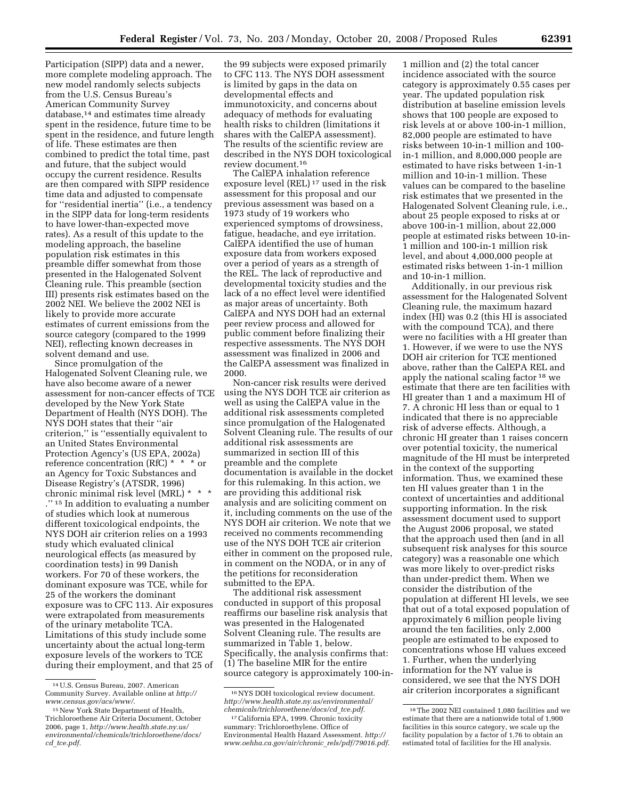Participation (SIPP) data and a newer, more complete modeling approach. The new model randomly selects subjects from the U.S. Census Bureau's American Community Survey database,14 and estimates time already spent in the residence, future time to be spent in the residence, and future length of life. These estimates are then combined to predict the total time, past and future, that the subject would occupy the current residence. Results are then compared with SIPP residence time data and adjusted to compensate for ''residential inertia'' (i.e., a tendency in the SIPP data for long-term residents to have lower-than-expected move rates). As a result of this update to the modeling approach, the baseline population risk estimates in this preamble differ somewhat from those presented in the Halogenated Solvent Cleaning rule. This preamble (section III) presents risk estimates based on the 2002 NEI. We believe the 2002 NEI is likely to provide more accurate estimates of current emissions from the source category (compared to the 1999 NEI), reflecting known decreases in solvent demand and use.

Since promulgation of the Halogenated Solvent Cleaning rule, we have also become aware of a newer assessment for non-cancer effects of TCE developed by the New York State Department of Health (NYS DOH). The NYS DOH states that their ''air criterion,'' is ''essentially equivalent to an United States Environmental Protection Agency's (US EPA, 2002a) reference concentration (RfC) \* \* \* or an Agency for Toxic Substances and Disease Registry's (ATSDR, 1996) chronic minimal risk level (MRL) \* \* \* ."<sup>15</sup> In addition to evaluating a number. of studies which look at numerous different toxicological endpoints, the NYS DOH air criterion relies on a 1993 study which evaluated clinical neurological effects (as measured by coordination tests) in 99 Danish workers. For 70 of these workers, the dominant exposure was TCE, while for 25 of the workers the dominant exposure was to CFC 113. Air exposures were extrapolated from measurements of the urinary metabolite TCA. Limitations of this study include some uncertainty about the actual long-term exposure levels of the workers to TCE during their employment, and that 25 of

the 99 subjects were exposed primarily to CFC 113. The NYS DOH assessment is limited by gaps in the data on developmental effects and immunotoxicity, and concerns about adequacy of methods for evaluating health risks to children (limitations it shares with the CalEPA assessment). The results of the scientific review are described in the NYS DOH toxicological review document.16

The CalEPA inhalation reference exposure level (REL) 17 used in the risk assessment for this proposal and our previous assessment was based on a 1973 study of 19 workers who experienced symptoms of drowsiness, fatigue, headache, and eye irritation. CalEPA identified the use of human exposure data from workers exposed over a period of years as a strength of the REL. The lack of reproductive and developmental toxicity studies and the lack of a no effect level were identified as major areas of uncertainty. Both CalEPA and NYS DOH had an external peer review process and allowed for public comment before finalizing their respective assessments. The NYS DOH assessment was finalized in 2006 and the CalEPA assessment was finalized in 2000.

Non-cancer risk results were derived using the NYS DOH TCE air criterion as well as using the CalEPA value in the additional risk assessments completed since promulgation of the Halogenated Solvent Cleaning rule. The results of our additional risk assessments are summarized in section III of this preamble and the complete documentation is available in the docket for this rulemaking. In this action, we are providing this additional risk analysis and are soliciting comment on it, including comments on the use of the NYS DOH air criterion. We note that we received no comments recommending use of the NYS DOH TCE air criterion either in comment on the proposed rule, in comment on the NODA, or in any of the petitions for reconsideration submitted to the EPA.

The additional risk assessment conducted in support of this proposal reaffirms our baseline risk analysis that was presented in the Halogenated Solvent Cleaning rule. The results are summarized in Table 1, below. Specifically, the analysis confirms that: (1) The baseline MIR for the entire source category is approximately 100-in-

1 million and (2) the total cancer incidence associated with the source category is approximately 0.55 cases per year. The updated population risk distribution at baseline emission levels shows that 100 people are exposed to risk levels at or above 100-in-1 million, 82,000 people are estimated to have risks between 10-in-1 million and 100 in-1 million, and 8,000,000 people are estimated to have risks between 1-in-1 million and 10-in-1 million. These values can be compared to the baseline risk estimates that we presented in the Halogenated Solvent Cleaning rule, i.e., about 25 people exposed to risks at or above 100-in-1 million, about 22,000 people at estimated risks between 10-in-1 million and 100-in-1 million risk level, and about 4,000,000 people at estimated risks between 1-in-1 million and 10-in-1 million.

Additionally, in our previous risk assessment for the Halogenated Solvent Cleaning rule, the maximum hazard index (HI) was 0.2 (this HI is associated with the compound TCA), and there were no facilities with a HI greater than 1. However, if we were to use the NYS DOH air criterion for TCE mentioned above, rather than the CalEPA REL and apply the national scaling factor 18 we estimate that there are ten facilities with HI greater than 1 and a maximum HI of 7. A chronic HI less than or equal to 1 indicated that there is no appreciable risk of adverse effects. Although, a chronic HI greater than 1 raises concern over potential toxicity, the numerical magnitude of the HI must be interpreted in the context of the supporting information. Thus, we examined these ten HI values greater than 1 in the context of uncertainties and additional supporting information. In the risk assessment document used to support the August 2006 proposal, we stated that the approach used then (and in all subsequent risk analyses for this source category) was a reasonable one which was more likely to over-predict risks than under-predict them. When we consider the distribution of the population at different HI levels, we see that out of a total exposed population of approximately 6 million people living around the ten facilities, only 2,000 people are estimated to be exposed to concentrations whose HI values exceed 1. Further, when the underlying information for the NY value is considered, we see that the NYS DOH air criterion incorporates a significant

<sup>14</sup>U.S. Census Bureau, 2007. American Community Survey. Available online at *http:// www.census.gov/acs/www/*.

<sup>15</sup>New York State Department of Health, Trichloroethene Air Criteria Document, October 2006, page 1, *http://www.health.state.ny.us/ environmental/chemicals/trichloroethene/docs/ cd*\_*tce.pdf.* 

<sup>16</sup>NYS DOH toxicological review document. *http://www.health.state.ny.us/environmental/ chemicals/trichloroethene/docs/cd*\_*tce.pdf.* 

<sup>17</sup>California EPA, 1999. Chronic toxicity summary: Trichloroethylene. Office of Environmental Health Hazard Assessment. *http:// www.oehha.ca.gov/air/chronic*\_*rels/pdf/79016.pdf*.

<sup>18</sup>The 2002 NEI contained 1,080 facilities and we estimate that there are a nationwide total of 1,900 facilities in this source category, we scale up the facility population by a factor of 1.76 to obtain an estimated total of facilities for the HI analysis.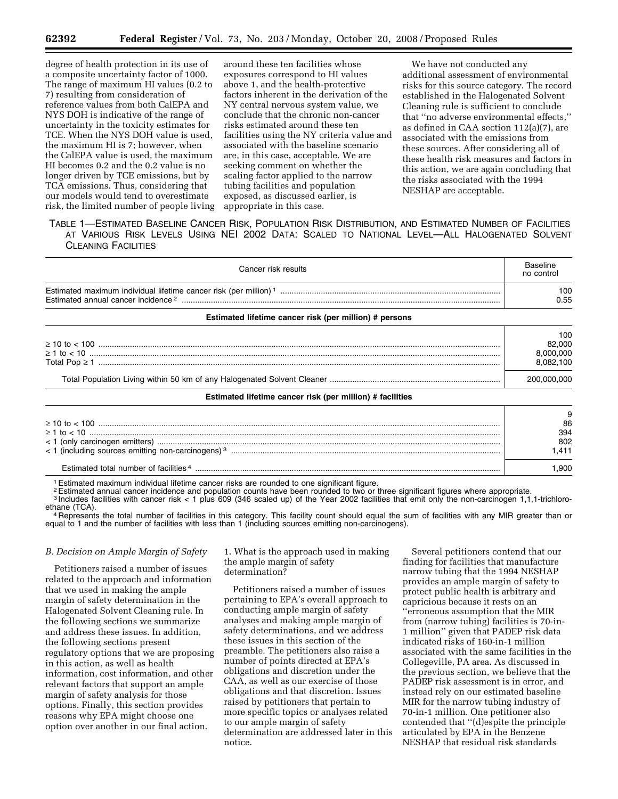degree of health protection in its use of a composite uncertainty factor of 1000. The range of maximum HI values (0.2 to 7) resulting from consideration of reference values from both CalEPA and NYS DOH is indicative of the range of uncertainty in the toxicity estimates for TCE. When the NYS DOH value is used, the maximum HI is 7; however, when the CalEPA value is used, the maximum HI becomes 0.2 and the 0.2 value is no longer driven by TCE emissions, but by TCA emissions. Thus, considering that our models would tend to overestimate risk, the limited number of people living

around these ten facilities whose exposures correspond to HI values above 1, and the health-protective factors inherent in the derivation of the NY central nervous system value, we conclude that the chronic non-cancer risks estimated around these ten facilities using the NY criteria value and associated with the baseline scenario are, in this case, acceptable. We are seeking comment on whether the scaling factor applied to the narrow tubing facilities and population exposed, as discussed earlier, is appropriate in this case.

We have not conducted any additional assessment of environmental risks for this source category. The record established in the Halogenated Solvent Cleaning rule is sufficient to conclude that ''no adverse environmental effects,'' as defined in CAA section 112(a)(7), are associated with the emissions from these sources. After considering all of these health risk measures and factors in this action, we are again concluding that the risks associated with the 1994 NESHAP are acceptable.

#### TABLE 1—ESTIMATED BASELINE CANCER RISK, POPULATION RISK DISTRIBUTION, AND ESTIMATED NUMBER OF FACILITIES AT VARIOUS RISK LEVELS USING NEI 2002 DATA: SCALED TO NATIONAL LEVEL—ALL HALOGENATED SOLVENT CLEANING FACILITIES

| Cancer risk results                                       |                                         |  |
|-----------------------------------------------------------|-----------------------------------------|--|
|                                                           | 100<br>0.55                             |  |
| Estimated lifetime cancer risk (per million) # persons    |                                         |  |
| $\geq 1$ to < 10                                          | 100<br>82,000<br>8,000,000<br>8,082,100 |  |
|                                                           | 200,000,000                             |  |
| Estimated lifetime cancer risk (per million) # facilities |                                         |  |
|                                                           | 9<br>86<br>394                          |  |

| $\geq 1$ to $< 10$                                                 | --<br>394<br>802 |
|--------------------------------------------------------------------|------------------|
| $\leq$ 1 (including sources emitting non-carcinogens) <sup>3</sup> |                  |
| Estimated total number of facilities 4                             |                  |

<sup>1</sup> Estimated maximum individual lifetime cancer risks are rounded to one significant figure.<br><sup>2</sup> Estimated annual cancer incidence and population counts have been rounded to two or three significant figures where appropri

<sup>3</sup> Includes facilities with cancer risk < 1 plus 609 (346 scaled up) of the Year 2002 facilities that emit only the non-carcinogen 1,1,1-trichloro-<br>ethane (TCA).

<sup>4</sup> Represents the total number of facilities in this category. This facility count should equal the sum of facilities with any MIR greater than or equal to 1 and the number of facilities with less than 1 (including sources emitting non-carcinogens).

#### *B. Decision on Ample Margin of Safety*

Petitioners raised a number of issues related to the approach and information that we used in making the ample margin of safety determination in the Halogenated Solvent Cleaning rule. In the following sections we summarize and address these issues. In addition, the following sections present regulatory options that we are proposing in this action, as well as health information, cost information, and other relevant factors that support an ample margin of safety analysis for those options. Finally, this section provides reasons why EPA might choose one option over another in our final action.

1. What is the approach used in making the ample margin of safety determination?

Petitioners raised a number of issues pertaining to EPA's overall approach to conducting ample margin of safety analyses and making ample margin of safety determinations, and we address these issues in this section of the preamble. The petitioners also raise a number of points directed at EPA's obligations and discretion under the CAA, as well as our exercise of those obligations and that discretion. Issues raised by petitioners that pertain to more specific topics or analyses related to our ample margin of safety determination are addressed later in this notice.

Several petitioners contend that our finding for facilities that manufacture narrow tubing that the 1994 NESHAP provides an ample margin of safety to protect public health is arbitrary and capricious because it rests on an ''erroneous assumption that the MIR from (narrow tubing) facilities is 70-in-1 million'' given that PADEP risk data indicated risks of 160-in-1 million associated with the same facilities in the Collegeville, PA area. As discussed in the previous section, we believe that the PADEP risk assessment is in error, and instead rely on our estimated baseline MIR for the narrow tubing industry of 70-in-1 million. One petitioner also contended that ''(d)espite the principle articulated by EPA in the Benzene NESHAP that residual risk standards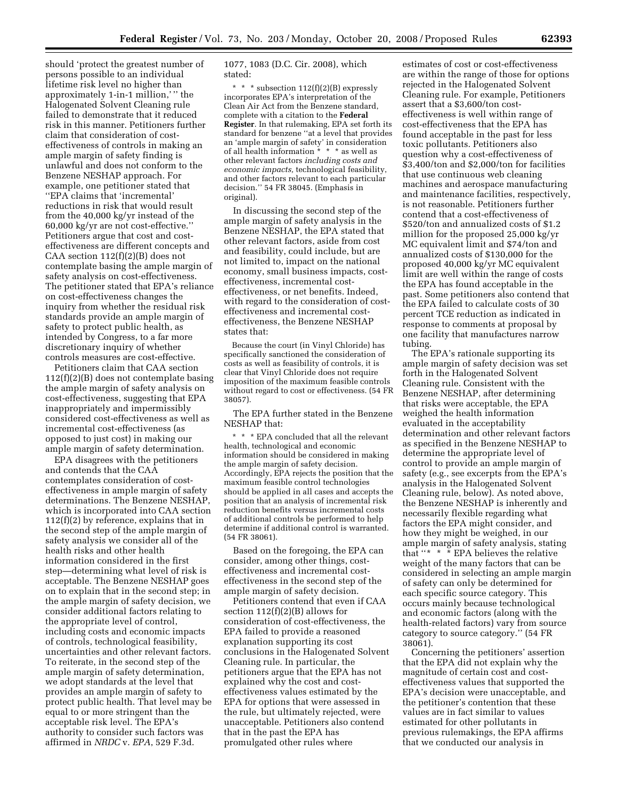should 'protect the greatest number of persons possible to an individual lifetime risk level no higher than approximately 1-in-1 million,' '' the Halogenated Solvent Cleaning rule failed to demonstrate that it reduced risk in this manner. Petitioners further claim that consideration of costeffectiveness of controls in making an ample margin of safety finding is unlawful and does not conform to the Benzene NESHAP approach. For example, one petitioner stated that ''EPA claims that 'incremental' reductions in risk that would result from the 40,000 kg/yr instead of the 60,000 kg/yr are not cost-effective.'' Petitioners argue that cost and costeffectiveness are different concepts and CAA section 112(f)(2)(B) does not contemplate basing the ample margin of safety analysis on cost-effectiveness. The petitioner stated that EPA's reliance on cost-effectiveness changes the inquiry from whether the residual risk standards provide an ample margin of safety to protect public health, as intended by Congress, to a far more discretionary inquiry of whether controls measures are cost-effective.

Petitioners claim that CAA section 112(f)(2)(B) does not contemplate basing the ample margin of safety analysis on cost-effectiveness, suggesting that EPA inappropriately and impermissibly considered cost-effectiveness as well as incremental cost-effectiveness (as opposed to just cost) in making our ample margin of safety determination.

EPA disagrees with the petitioners and contends that the CAA contemplates consideration of costeffectiveness in ample margin of safety determinations. The Benzene NESHAP, which is incorporated into CAA section 112(f)(2) by reference, explains that in the second step of the ample margin of safety analysis we consider all of the health risks and other health information considered in the first step—determining what level of risk is acceptable. The Benzene NESHAP goes on to explain that in the second step; in the ample margin of safety decision, we consider additional factors relating to the appropriate level of control, including costs and economic impacts of controls, technological feasibility, uncertainties and other relevant factors. To reiterate, in the second step of the ample margin of safety determination, we adopt standards at the level that provides an ample margin of safety to protect public health. That level may be equal to or more stringent than the acceptable risk level. The EPA's authority to consider such factors was affirmed in *NRDC* v. *EPA*, 529 F.3d.

1077, 1083 (D.C. Cir. 2008), which stated:

\* \* \* subsection 112(f)(2)(B) expressly incorporates EPA's interpretation of the Clean Air Act from the Benzene standard, complete with a citation to the **Federal Register**. In that rulemaking, EPA set forth its standard for benzene ''at a level that provides an 'ample margin of safety' in consideration of all health information \* \* \* as well as other relevant factors *including costs and economic impacts,* technological feasibility, and other factors relevant to each particular decision.'' 54 FR 38045. (Emphasis in original).

In discussing the second step of the ample margin of safety analysis in the Benzene NESHAP, the EPA stated that other relevant factors, aside from cost and feasibility, could include, but are not limited to, impact on the national economy, small business impacts, costeffectiveness, incremental costeffectiveness, or net benefits. Indeed, with regard to the consideration of costeffectiveness and incremental costeffectiveness, the Benzene NESHAP states that:

Because the court (in Vinyl Chloride) has specifically sanctioned the consideration of costs as well as feasibility of controls, it is clear that Vinyl Chloride does not require imposition of the maximum feasible controls without regard to cost or effectiveness. (54 FR 38057).

The EPA further stated in the Benzene NESHAP that:

\* \* \* EPA concluded that all the relevant health, technological and economic information should be considered in making the ample margin of safety decision. Accordingly, EPA rejects the position that the maximum feasible control technologies should be applied in all cases and accepts the position that an analysis of incremental risk reduction benefits versus incremental costs of additional controls be performed to help determine if additional control is warranted. (54 FR 38061).

Based on the foregoing, the EPA can consider, among other things, costeffectiveness and incremental costeffectiveness in the second step of the ample margin of safety decision.

Petitioners contend that even if CAA section 112(f)(2)(B) allows for consideration of cost-effectiveness, the EPA failed to provide a reasoned explanation supporting its cost conclusions in the Halogenated Solvent Cleaning rule. In particular, the petitioners argue that the EPA has not explained why the cost and costeffectiveness values estimated by the EPA for options that were assessed in the rule, but ultimately rejected, were unacceptable. Petitioners also contend that in the past the EPA has promulgated other rules where

estimates of cost or cost-effectiveness are within the range of those for options rejected in the Halogenated Solvent Cleaning rule. For example, Petitioners assert that a \$3,600/ton costeffectiveness is well within range of cost-effectiveness that the EPA has found acceptable in the past for less toxic pollutants. Petitioners also question why a cost-effectiveness of \$3,400/ton and \$2,000/ton for facilities that use continuous web cleaning machines and aerospace manufacturing and maintenance facilities, respectively, is not reasonable. Petitioners further contend that a cost-effectiveness of \$520/ton and annualized costs of \$1.2 million for the proposed 25,000 kg/yr MC equivalent limit and \$74/ton and annualized costs of \$130,000 for the proposed 40,000 kg/yr MC equivalent limit are well within the range of costs the EPA has found acceptable in the past. Some petitioners also contend that the EPA failed to calculate costs of 30 percent TCE reduction as indicated in response to comments at proposal by one facility that manufactures narrow tubing.

The EPA's rationale supporting its ample margin of safety decision was set forth in the Halogenated Solvent Cleaning rule. Consistent with the Benzene NESHAP, after determining that risks were acceptable, the EPA weighed the health information evaluated in the acceptability determination and other relevant factors as specified in the Benzene NESHAP to determine the appropriate level of control to provide an ample margin of safety (e.g., see excerpts from the EPA's analysis in the Halogenated Solvent Cleaning rule, below). As noted above, the Benzene NESHAP is inherently and necessarily flexible regarding what factors the EPA might consider, and how they might be weighed, in our ample margin of safety analysis, stating that ''\* \* \* EPA believes the relative weight of the many factors that can be considered in selecting an ample margin of safety can only be determined for each specific source category. This occurs mainly because technological and economic factors (along with the health-related factors) vary from source category to source category.'' (54 FR 38061).

Concerning the petitioners' assertion that the EPA did not explain why the magnitude of certain cost and costeffectiveness values that supported the EPA's decision were unacceptable, and the petitioner's contention that these values are in fact similar to values estimated for other pollutants in previous rulemakings, the EPA affirms that we conducted our analysis in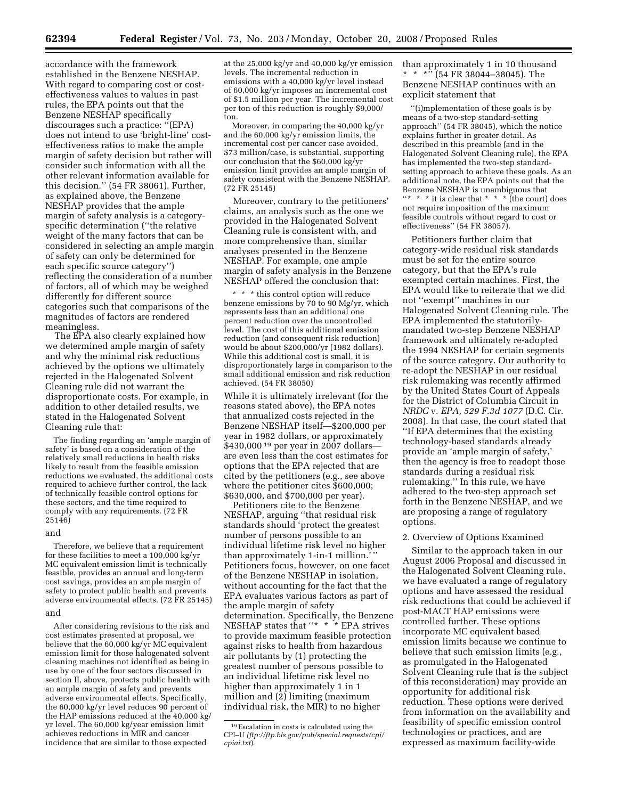accordance with the framework established in the Benzene NESHAP. With regard to comparing cost or costeffectiveness values to values in past rules, the EPA points out that the Benzene NESHAP specifically discourages such a practice: ''(EPA) does not intend to use 'bright-line' costeffectiveness ratios to make the ample margin of safety decision but rather will consider such information with all the other relevant information available for this decision.'' (54 FR 38061). Further, as explained above, the Benzene NESHAP provides that the ample margin of safety analysis is a categoryspecific determination (''the relative weight of the many factors that can be considered in selecting an ample margin of safety can only be determined for each specific source category'') reflecting the consideration of a number of factors, all of which may be weighed differently for different source categories such that comparisons of the magnitudes of factors are rendered meaningless.

The EPA also clearly explained how we determined ample margin of safety and why the minimal risk reductions achieved by the options we ultimately rejected in the Halogenated Solvent Cleaning rule did not warrant the disproportionate costs. For example, in addition to other detailed results, we stated in the Halogenated Solvent Cleaning rule that:

The finding regarding an 'ample margin of safety' is based on a consideration of the relatively small reductions in health risks likely to result from the feasible emission reductions we evaluated, the additional costs required to achieve further control, the lack of technically feasible control options for these sectors, and the time required to comply with any requirements. (72 FR 25146)

#### and

Therefore, we believe that a requirement for these facilities to meet a 100,000 kg/yr MC equivalent emission limit is technically feasible, provides an annual and long-term cost savings, provides an ample margin of safety to protect public health and prevents adverse environmental effects. (72 FR 25145) and

After considering revisions to the risk and cost estimates presented at proposal, we believe that the 60,000 kg/yr MC equivalent emission limit for those halogenated solvent cleaning machines not identified as being in use by one of the four sectors discussed in section II, above, protects public health with an ample margin of safety and prevents adverse environmental effects. Specifically, the 60,000 kg/yr level reduces 90 percent of the HAP emissions reduced at the 40,000 kg/ yr level. The 60,000 kg/year emission limit achieves reductions in MIR and cancer incidence that are similar to those expected

at the 25,000 kg/yr and 40,000 kg/yr emission levels. The incremental reduction in emissions with a 40,000 kg/yr level instead of 60,000 kg/yr imposes an incremental cost of \$1.5 million per year. The incremental cost per ton of this reduction is roughly \$9,000/ ton.

Moreover, in comparing the 40,000 kg/yr and the 60,000 kg/yr emission limits, the incremental cost per cancer case avoided, \$73 million/case, is substantial, supporting our conclusion that the \$60,000 kg/yr emission limit provides an ample margin of safety consistent with the Benzene NESHAP. (72 FR 25145)

Moreover, contrary to the petitioners' claims, an analysis such as the one we provided in the Halogenated Solvent Cleaning rule is consistent with, and more comprehensive than, similar analyses presented in the Benzene NESHAP. For example, one ample margin of safety analysis in the Benzene NESHAP offered the conclusion that:

\* \* \* this control option will reduce benzene emissions by 70 to 90 Mg/yr, which represents less than an additional one percent reduction over the uncontrolled level. The cost of this additional emission reduction (and consequent risk reduction) would be about \$200,000/yr (1982 dollars). While this additional cost is small, it is disproportionately large in comparison to the small additional emission and risk reduction achieved. (54 FR 38050)

While it is ultimately irrelevant (for the reasons stated above), the EPA notes that annualized costs rejected in the Benzene NESHAP itself—\$200,000 per year in 1982 dollars, or approximately \$430,000<sup>19</sup> per year in 2007 dollarsare even less than the cost estimates for options that the EPA rejected that are cited by the petitioners (e.g., see above where the petitioner cites \$600,000; \$630,000, and \$700,000 per year).

Petitioners cite to the Benzene NESHAP, arguing ''that residual risk standards should 'protect the greatest number of persons possible to an individual lifetime risk level no higher than approximately 1-in-1 million.' Petitioners focus, however, on one facet of the Benzene NESHAP in isolation, without accounting for the fact that the EPA evaluates various factors as part of the ample margin of safety determination. Specifically, the Benzene NESHAP states that ''\* \* \* EPA strives to provide maximum feasible protection against risks to health from hazardous air pollutants by (1) protecting the greatest number of persons possible to an individual lifetime risk level no higher than approximately 1 in 1 million and (2) limiting (maximum individual risk, the MIR) to no higher

than approximately 1 in 10 thousand \* \* \*'' (54 FR 38044–38045). The Benzene NESHAP continues with an explicit statement that

''(i)mplementation of these goals is by means of a two-step standard-setting approach'' (54 FR 38045), which the notice explains further in greater detail. As described in this preamble (and in the Halogenated Solvent Cleaning rule), the EPA has implemented the two-step standardsetting approach to achieve these goals. As an additional note, the EPA points out that the Benzene NESHAP is unambiguous that "\* \* \* it is clear that \* \* \* (the court) does not require imposition of the maximum feasible controls without regard to cost or effectiveness'' (54 FR 38057).

Petitioners further claim that category-wide residual risk standards must be set for the entire source category, but that the EPA's rule exempted certain machines. First, the EPA would like to reiterate that we did not ''exempt'' machines in our Halogenated Solvent Cleaning rule. The EPA implemented the statutorilymandated two-step Benzene NESHAP framework and ultimately re-adopted the 1994 NESHAP for certain segments of the source category. Our authority to re-adopt the NESHAP in our residual risk rulemaking was recently affirmed by the United States Court of Appeals for the District of Columbia Circuit in *NRDC* v. *EPA, 529 F.3d 1077* (D.C. Cir. 2008). In that case, the court stated that ''If EPA determines that the existing technology-based standards already provide an 'ample margin of safety,' then the agency is free to readopt those standards during a residual risk rulemaking.'' In this rule, we have adhered to the two-step approach set forth in the Benzene NESHAP, and we are proposing a range of regulatory options.

#### 2. Overview of Options Examined

Similar to the approach taken in our August 2006 Proposal and discussed in the Halogenated Solvent Cleaning rule, we have evaluated a range of regulatory options and have assessed the residual risk reductions that could be achieved if post-MACT HAP emissions were controlled further. These options incorporate MC equivalent based emission limits because we continue to believe that such emission limits (e.g., as promulgated in the Halogenated Solvent Cleaning rule that is the subject of this reconsideration) may provide an opportunity for additional risk reduction. These options were derived from information on the availability and feasibility of specific emission control technologies or practices, and are expressed as maximum facility-wide

<sup>19</sup>Escalation in costs is calculated using the CPI–U *(ftp://ftp.bls.gov/pub/special.requests/cpi/ cpiai.txt*).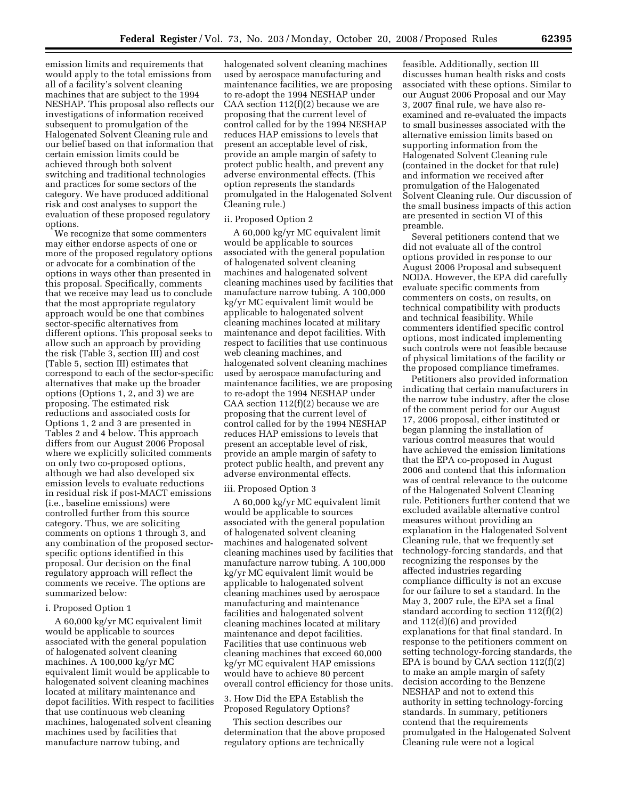emission limits and requirements that would apply to the total emissions from all of a facility's solvent cleaning machines that are subject to the 1994 NESHAP. This proposal also reflects our investigations of information received subsequent to promulgation of the Halogenated Solvent Cleaning rule and our belief based on that information that certain emission limits could be achieved through both solvent switching and traditional technologies and practices for some sectors of the category. We have produced additional risk and cost analyses to support the evaluation of these proposed regulatory options.

We recognize that some commenters may either endorse aspects of one or more of the proposed regulatory options or advocate for a combination of the options in ways other than presented in this proposal. Specifically, comments that we receive may lead us to conclude that the most appropriate regulatory approach would be one that combines sector-specific alternatives from different options. This proposal seeks to allow such an approach by providing the risk (Table 3, section III) and cost (Table 5, section III) estimates that correspond to each of the sector-specific alternatives that make up the broader options (Options 1, 2, and 3) we are proposing. The estimated risk reductions and associated costs for Options 1, 2 and 3 are presented in Tables 2 and 4 below. This approach differs from our August 2006 Proposal where we explicitly solicited comments on only two co-proposed options, although we had also developed six emission levels to evaluate reductions in residual risk if post-MACT emissions (i.e., baseline emissions) were controlled further from this source category. Thus, we are soliciting comments on options 1 through 3, and any combination of the proposed sectorspecific options identified in this proposal. Our decision on the final regulatory approach will reflect the comments we receive. The options are summarized below:

#### i. Proposed Option 1

A 60,000 kg/yr MC equivalent limit would be applicable to sources associated with the general population of halogenated solvent cleaning machines. A 100,000 kg/yr MC equivalent limit would be applicable to halogenated solvent cleaning machines located at military maintenance and depot facilities. With respect to facilities that use continuous web cleaning machines, halogenated solvent cleaning machines used by facilities that manufacture narrow tubing, and

halogenated solvent cleaning machines used by aerospace manufacturing and maintenance facilities, we are proposing to re-adopt the 1994 NESHAP under CAA section  $112(f)(2)$  because we are proposing that the current level of control called for by the 1994 NESHAP reduces HAP emissions to levels that present an acceptable level of risk, provide an ample margin of safety to protect public health, and prevent any adverse environmental effects. (This option represents the standards promulgated in the Halogenated Solvent Cleaning rule.)

#### ii. Proposed Option 2

A 60,000 kg/yr MC equivalent limit would be applicable to sources associated with the general population of halogenated solvent cleaning machines and halogenated solvent cleaning machines used by facilities that manufacture narrow tubing. A 100,000 kg/yr MC equivalent limit would be applicable to halogenated solvent cleaning machines located at military maintenance and depot facilities. With respect to facilities that use continuous web cleaning machines, and halogenated solvent cleaning machines used by aerospace manufacturing and maintenance facilities, we are proposing to re-adopt the 1994 NESHAP under CAA section  $112(f)(2)$  because we are proposing that the current level of control called for by the 1994 NESHAP reduces HAP emissions to levels that present an acceptable level of risk, provide an ample margin of safety to protect public health, and prevent any adverse environmental effects.

#### iii. Proposed Option 3

A 60,000 kg/yr MC equivalent limit would be applicable to sources associated with the general population of halogenated solvent cleaning machines and halogenated solvent cleaning machines used by facilities that manufacture narrow tubing. A 100,000 kg/yr MC equivalent limit would be applicable to halogenated solvent cleaning machines used by aerospace manufacturing and maintenance facilities and halogenated solvent cleaning machines located at military maintenance and depot facilities. Facilities that use continuous web cleaning machines that exceed 60,000 kg/yr MC equivalent HAP emissions would have to achieve 80 percent overall control efficiency for those units.

3. How Did the EPA Establish the Proposed Regulatory Options?

This section describes our determination that the above proposed regulatory options are technically

feasible. Additionally, section III discusses human health risks and costs associated with these options. Similar to our August 2006 Proposal and our May 3, 2007 final rule, we have also reexamined and re-evaluated the impacts to small businesses associated with the alternative emission limits based on supporting information from the Halogenated Solvent Cleaning rule (contained in the docket for that rule) and information we received after promulgation of the Halogenated Solvent Cleaning rule. Our discussion of the small business impacts of this action are presented in section VI of this preamble.

Several petitioners contend that we did not evaluate all of the control options provided in response to our August 2006 Proposal and subsequent NODA. However, the EPA did carefully evaluate specific comments from commenters on costs, on results, on technical compatibility with products and technical feasibility. While commenters identified specific control options, most indicated implementing such controls were not feasible because of physical limitations of the facility or the proposed compliance timeframes.

Petitioners also provided information indicating that certain manufacturers in the narrow tube industry, after the close of the comment period for our August 17, 2006 proposal, either instituted or began planning the installation of various control measures that would have achieved the emission limitations that the EPA co-proposed in August 2006 and contend that this information was of central relevance to the outcome of the Halogenated Solvent Cleaning rule. Petitioners further contend that we excluded available alternative control measures without providing an explanation in the Halogenated Solvent Cleaning rule, that we frequently set technology-forcing standards, and that recognizing the responses by the affected industries regarding compliance difficulty is not an excuse for our failure to set a standard. In the May 3, 2007 rule, the EPA set a final standard according to section 112(f)(2) and 112(d)(6) and provided explanations for that final standard. In response to the petitioners comment on setting technology-forcing standards, the EPA is bound by CAA section 112(f)(2) to make an ample margin of safety decision according to the Benzene NESHAP and not to extend this authority in setting technology-forcing standards. In summary, petitioners contend that the requirements promulgated in the Halogenated Solvent Cleaning rule were not a logical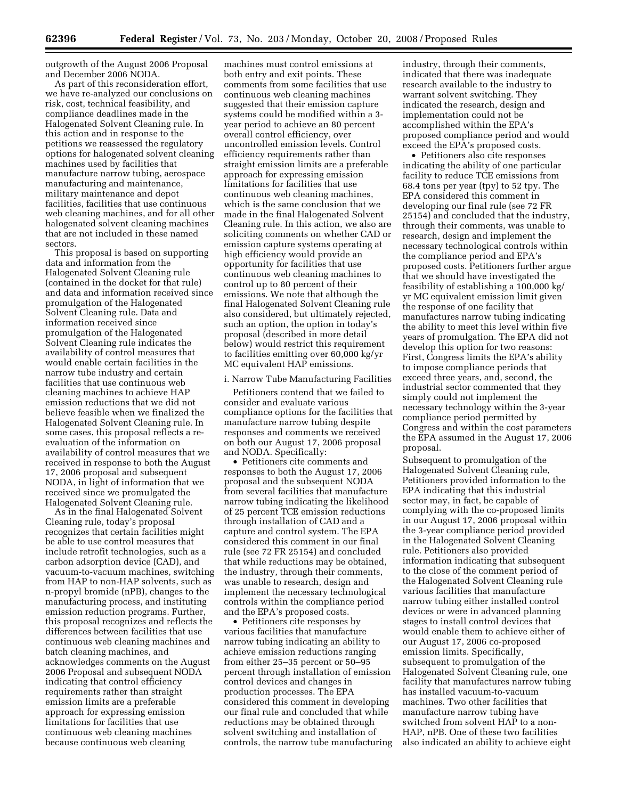outgrowth of the August 2006 Proposal and December 2006 NODA.

As part of this reconsideration effort, we have re-analyzed our conclusions on risk, cost, technical feasibility, and compliance deadlines made in the Halogenated Solvent Cleaning rule. In this action and in response to the petitions we reassessed the regulatory options for halogenated solvent cleaning machines used by facilities that manufacture narrow tubing, aerospace manufacturing and maintenance, military maintenance and depot facilities, facilities that use continuous web cleaning machines, and for all other halogenated solvent cleaning machines that are not included in these named sectors.

This proposal is based on supporting data and information from the Halogenated Solvent Cleaning rule (contained in the docket for that rule) and data and information received since promulgation of the Halogenated Solvent Cleaning rule. Data and information received since promulgation of the Halogenated Solvent Cleaning rule indicates the availability of control measures that would enable certain facilities in the narrow tube industry and certain facilities that use continuous web cleaning machines to achieve HAP emission reductions that we did not believe feasible when we finalized the Halogenated Solvent Cleaning rule. In some cases, this proposal reflects a reevaluation of the information on availability of control measures that we received in response to both the August 17, 2006 proposal and subsequent NODA, in light of information that we received since we promulgated the Halogenated Solvent Cleaning rule.

As in the final Halogenated Solvent Cleaning rule, today's proposal recognizes that certain facilities might be able to use control measures that include retrofit technologies, such as a carbon adsorption device (CAD), and vacuum-to-vacuum machines, switching from HAP to non-HAP solvents, such as n-propyl bromide (nPB), changes to the manufacturing process, and instituting emission reduction programs. Further, this proposal recognizes and reflects the differences between facilities that use continuous web cleaning machines and batch cleaning machines, and acknowledges comments on the August 2006 Proposal and subsequent NODA indicating that control efficiency requirements rather than straight emission limits are a preferable approach for expressing emission limitations for facilities that use continuous web cleaning machines because continuous web cleaning

machines must control emissions at both entry and exit points. These comments from some facilities that use continuous web cleaning machines suggested that their emission capture systems could be modified within a 3 year period to achieve an 80 percent overall control efficiency, over uncontrolled emission levels. Control efficiency requirements rather than straight emission limits are a preferable approach for expressing emission limitations for facilities that use continuous web cleaning machines, which is the same conclusion that we made in the final Halogenated Solvent Cleaning rule. In this action, we also are soliciting comments on whether CAD or emission capture systems operating at high efficiency would provide an opportunity for facilities that use continuous web cleaning machines to control up to 80 percent of their emissions. We note that although the final Halogenated Solvent Cleaning rule also considered, but ultimately rejected, such an option, the option in today's proposal (described in more detail below) would restrict this requirement to facilities emitting over 60,000 kg/yr MC equivalent HAP emissions.

#### i. Narrow Tube Manufacturing Facilities

Petitioners contend that we failed to consider and evaluate various compliance options for the facilities that manufacture narrow tubing despite responses and comments we received on both our August 17, 2006 proposal and NODA. Specifically:

• Petitioners cite comments and responses to both the August 17, 2006 proposal and the subsequent NODA from several facilities that manufacture narrow tubing indicating the likelihood of 25 percent TCE emission reductions through installation of CAD and a capture and control system. The EPA considered this comment in our final rule (see 72 FR 25154) and concluded that while reductions may be obtained, the industry, through their comments, was unable to research, design and implement the necessary technological controls within the compliance period and the EPA's proposed costs.

• Petitioners cite responses by various facilities that manufacture narrow tubing indicating an ability to achieve emission reductions ranging from either 25–35 percent or 50–95 percent through installation of emission control devices and changes in production processes. The EPA considered this comment in developing our final rule and concluded that while reductions may be obtained through solvent switching and installation of controls, the narrow tube manufacturing industry, through their comments, indicated that there was inadequate research available to the industry to warrant solvent switching. They indicated the research, design and implementation could not be accomplished within the EPA's proposed compliance period and would exceed the EPA's proposed costs.

• Petitioners also cite responses indicating the ability of one particular facility to reduce TCE emissions from 68.4 tons per year (tpy) to 52 tpy. The EPA considered this comment in developing our final rule (see 72 FR 25154) and concluded that the industry, through their comments, was unable to research, design and implement the necessary technological controls within the compliance period and EPA's proposed costs. Petitioners further argue that we should have investigated the feasibility of establishing a 100,000 kg/ yr MC equivalent emission limit given the response of one facility that manufactures narrow tubing indicating the ability to meet this level within five years of promulgation. The EPA did not develop this option for two reasons: First, Congress limits the EPA's ability to impose compliance periods that exceed three years, and, second, the industrial sector commented that they simply could not implement the necessary technology within the 3-year compliance period permitted by Congress and within the cost parameters the EPA assumed in the August 17, 2006 proposal.

Subsequent to promulgation of the Halogenated Solvent Cleaning rule, Petitioners provided information to the EPA indicating that this industrial sector may, in fact, be capable of complying with the co-proposed limits in our August 17, 2006 proposal within the 3-year compliance period provided in the Halogenated Solvent Cleaning rule. Petitioners also provided information indicating that subsequent to the close of the comment period of the Halogenated Solvent Cleaning rule various facilities that manufacture narrow tubing either installed control devices or were in advanced planning stages to install control devices that would enable them to achieve either of our August 17, 2006 co-proposed emission limits. Specifically, subsequent to promulgation of the Halogenated Solvent Cleaning rule, one facility that manufactures narrow tubing has installed vacuum-to-vacuum machines. Two other facilities that manufacture narrow tubing have switched from solvent HAP to a non-HAP, nPB. One of these two facilities also indicated an ability to achieve eight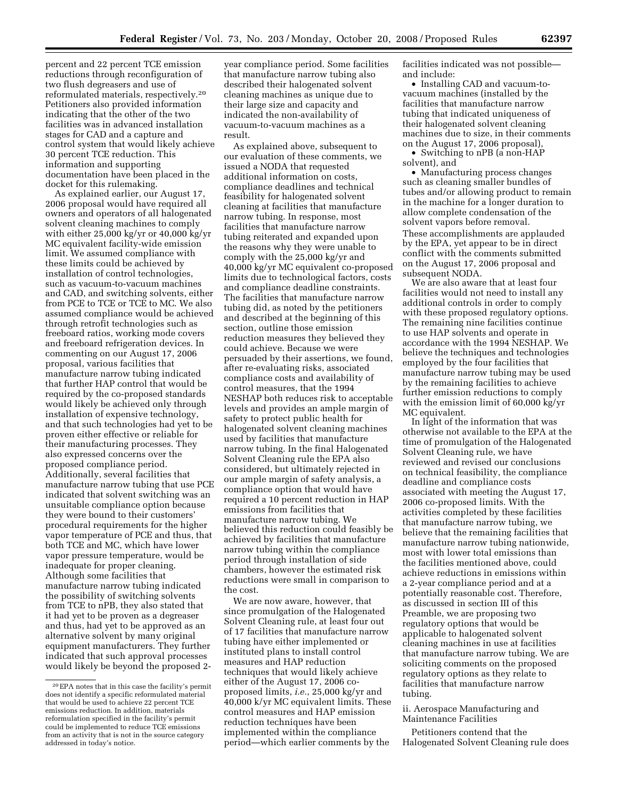percent and 22 percent TCE emission reductions through reconfiguration of two flush degreasers and use of reformulated materials, respectively.20 Petitioners also provided information indicating that the other of the two facilities was in advanced installation stages for CAD and a capture and control system that would likely achieve 30 percent TCE reduction. This information and supporting documentation have been placed in the docket for this rulemaking.

As explained earlier, our August 17, 2006 proposal would have required all owners and operators of all halogenated solvent cleaning machines to comply with either 25,000 kg/yr or 40,000 kg/yr MC equivalent facility-wide emission limit. We assumed compliance with these limits could be achieved by installation of control technologies, such as vacuum-to-vacuum machines and CAD, and switching solvents, either from PCE to TCE or TCE to MC. We also assumed compliance would be achieved through retrofit technologies such as freeboard ratios, working mode covers and freeboard refrigeration devices. In commenting on our August 17, 2006 proposal, various facilities that manufacture narrow tubing indicated that further HAP control that would be required by the co-proposed standards would likely be achieved only through installation of expensive technology, and that such technologies had yet to be proven either effective or reliable for their manufacturing processes. They also expressed concerns over the proposed compliance period. Additionally, several facilities that manufacture narrow tubing that use PCE indicated that solvent switching was an unsuitable compliance option because they were bound to their customers' procedural requirements for the higher vapor temperature of PCE and thus, that both TCE and MC, which have lower vapor pressure temperature, would be inadequate for proper cleaning. Although some facilities that manufacture narrow tubing indicated the possibility of switching solvents from TCE to nPB, they also stated that it had yet to be proven as a degreaser and thus, had yet to be approved as an alternative solvent by many original equipment manufacturers. They further indicated that such approval processes would likely be beyond the proposed 2year compliance period. Some facilities that manufacture narrow tubing also described their halogenated solvent cleaning machines as unique due to their large size and capacity and indicated the non-availability of vacuum-to-vacuum machines as a result.

As explained above, subsequent to our evaluation of these comments, we issued a NODA that requested additional information on costs, compliance deadlines and technical feasibility for halogenated solvent cleaning at facilities that manufacture narrow tubing. In response, most facilities that manufacture narrow tubing reiterated and expanded upon the reasons why they were unable to comply with the 25,000 kg/yr and 40,000 kg/yr MC equivalent co-proposed limits due to technological factors, costs and compliance deadline constraints. The facilities that manufacture narrow tubing did, as noted by the petitioners and described at the beginning of this section, outline those emission reduction measures they believed they could achieve. Because we were persuaded by their assertions, we found, after re-evaluating risks, associated compliance costs and availability of control measures, that the 1994 NESHAP both reduces risk to acceptable levels and provides an ample margin of safety to protect public health for halogenated solvent cleaning machines used by facilities that manufacture narrow tubing. In the final Halogenated Solvent Cleaning rule the EPA also considered, but ultimately rejected in our ample margin of safety analysis, a compliance option that would have required a 10 percent reduction in HAP emissions from facilities that manufacture narrow tubing. We believed this reduction could feasibly be achieved by facilities that manufacture narrow tubing within the compliance period through installation of side chambers, however the estimated risk reductions were small in comparison to the cost.

We are now aware, however, that since promulgation of the Halogenated Solvent Cleaning rule, at least four out of 17 facilities that manufacture narrow tubing have either implemented or instituted plans to install control measures and HAP reduction techniques that would likely achieve either of the August 17, 2006 coproposed limits, *i.e.*, 25,000 kg/yr and 40,000 k/yr MC equivalent limits. These control measures and HAP emission reduction techniques have been implemented within the compliance period—which earlier comments by the

facilities indicated was not possible and include:

• Installing CAD and vacuum-tovacuum machines (installed by the facilities that manufacture narrow tubing that indicated uniqueness of their halogenated solvent cleaning machines due to size, in their comments on the August 17, 2006 proposal),

• Switching to nPB (a non-HAP solvent), and

• Manufacturing process changes such as cleaning smaller bundles of tubes and/or allowing product to remain in the machine for a longer duration to allow complete condensation of the solvent vapors before removal. These accomplishments are applauded by the EPA, yet appear to be in direct conflict with the comments submitted on the August 17, 2006 proposal and subsequent NODA.

We are also aware that at least four facilities would not need to install any additional controls in order to comply with these proposed regulatory options. The remaining nine facilities continue to use HAP solvents and operate in accordance with the 1994 NESHAP. We believe the techniques and technologies employed by the four facilities that manufacture narrow tubing may be used by the remaining facilities to achieve further emission reductions to comply with the emission limit of 60,000 kg/yr MC equivalent.

In light of the information that was otherwise not available to the EPA at the time of promulgation of the Halogenated Solvent Cleaning rule, we have reviewed and revised our conclusions on technical feasibility, the compliance deadline and compliance costs associated with meeting the August 17, 2006 co-proposed limits. With the activities completed by these facilities that manufacture narrow tubing, we believe that the remaining facilities that manufacture narrow tubing nationwide, most with lower total emissions than the facilities mentioned above, could achieve reductions in emissions within a 2-year compliance period and at a potentially reasonable cost. Therefore, as discussed in section III of this Preamble, we are proposing two regulatory options that would be applicable to halogenated solvent cleaning machines in use at facilities that manufacture narrow tubing. We are soliciting comments on the proposed regulatory options as they relate to facilities that manufacture narrow tubing.

#### ii. Aerospace Manufacturing and Maintenance Facilities

Petitioners contend that the Halogenated Solvent Cleaning rule does

<sup>20</sup>EPA notes that in this case the facility's permit does not identify a specific reformulated material that would be used to achieve 22 percent TCE emissions reduction. In addition, materials reformulation specified in the facility's permit could be implemented to reduce TCE emissions from an activity that is not in the source category addressed in today's notice.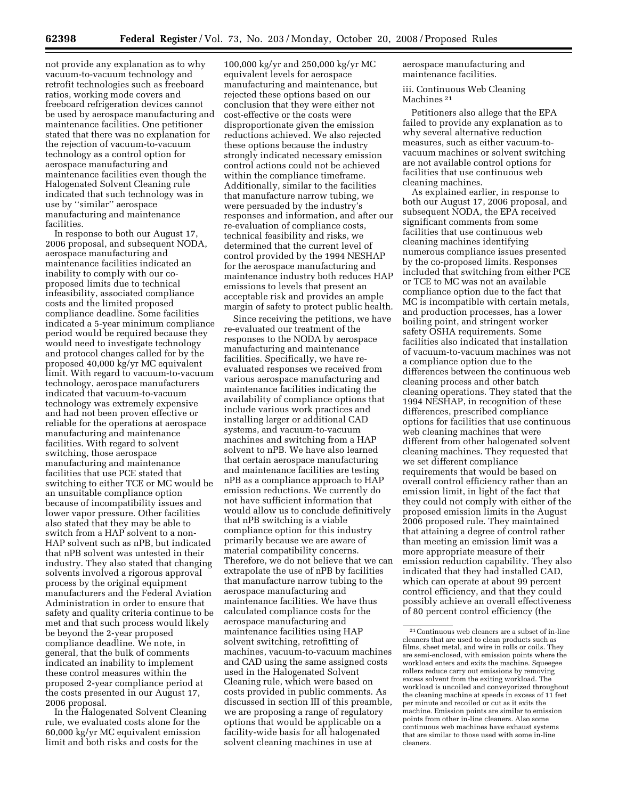not provide any explanation as to why vacuum-to-vacuum technology and retrofit technologies such as freeboard ratios, working mode covers and freeboard refrigeration devices cannot be used by aerospace manufacturing and maintenance facilities. One petitioner stated that there was no explanation for the rejection of vacuum-to-vacuum technology as a control option for aerospace manufacturing and maintenance facilities even though the Halogenated Solvent Cleaning rule indicated that such technology was in use by ''similar'' aerospace manufacturing and maintenance facilities.

In response to both our August 17, 2006 proposal, and subsequent NODA, aerospace manufacturing and maintenance facilities indicated an inability to comply with our coproposed limits due to technical infeasibility, associated compliance costs and the limited proposed compliance deadline. Some facilities indicated a 5-year minimum compliance period would be required because they would need to investigate technology and protocol changes called for by the proposed 40,000 kg/yr MC equivalent limit. With regard to vacuum-to-vacuum technology, aerospace manufacturers indicated that vacuum-to-vacuum technology was extremely expensive and had not been proven effective or reliable for the operations at aerospace manufacturing and maintenance facilities. With regard to solvent switching, those aerospace manufacturing and maintenance facilities that use PCE stated that switching to either TCE or MC would be an unsuitable compliance option because of incompatibility issues and lower vapor pressure. Other facilities also stated that they may be able to switch from a HAP solvent to a non-HAP solvent such as nPB, but indicated that nPB solvent was untested in their industry. They also stated that changing solvents involved a rigorous approval process by the original equipment manufacturers and the Federal Aviation Administration in order to ensure that safety and quality criteria continue to be met and that such process would likely be beyond the 2-year proposed compliance deadline. We note, in general, that the bulk of comments indicated an inability to implement these control measures within the proposed 2-year compliance period at the costs presented in our August 17, 2006 proposal.

In the Halogenated Solvent Cleaning rule, we evaluated costs alone for the 60,000 kg/yr MC equivalent emission limit and both risks and costs for the

100,000 kg/yr and 250,000 kg/yr MC equivalent levels for aerospace manufacturing and maintenance, but rejected these options based on our conclusion that they were either not cost-effective or the costs were disproportionate given the emission reductions achieved. We also rejected these options because the industry strongly indicated necessary emission control actions could not be achieved within the compliance timeframe. Additionally, similar to the facilities that manufacture narrow tubing, we were persuaded by the industry's responses and information, and after our re-evaluation of compliance costs, technical feasibility and risks, we determined that the current level of control provided by the 1994 NESHAP for the aerospace manufacturing and maintenance industry both reduces HAP emissions to levels that present an acceptable risk and provides an ample margin of safety to protect public health.

Since receiving the petitions, we have re-evaluated our treatment of the responses to the NODA by aerospace manufacturing and maintenance facilities. Specifically, we have reevaluated responses we received from various aerospace manufacturing and maintenance facilities indicating the availability of compliance options that include various work practices and installing larger or additional CAD systems, and vacuum-to-vacuum machines and switching from a HAP solvent to nPB. We have also learned that certain aerospace manufacturing and maintenance facilities are testing nPB as a compliance approach to HAP emission reductions. We currently do not have sufficient information that would allow us to conclude definitively that nPB switching is a viable compliance option for this industry primarily because we are aware of material compatibility concerns. Therefore, we do not believe that we can extrapolate the use of nPB by facilities that manufacture narrow tubing to the aerospace manufacturing and maintenance facilities. We have thus calculated compliance costs for the aerospace manufacturing and maintenance facilities using HAP solvent switching, retrofitting of machines, vacuum-to-vacuum machines and CAD using the same assigned costs used in the Halogenated Solvent Cleaning rule, which were based on costs provided in public comments. As discussed in section III of this preamble, we are proposing a range of regulatory options that would be applicable on a facility-wide basis for all halogenated solvent cleaning machines in use at

aerospace manufacturing and maintenance facilities.

iii. Continuous Web Cleaning Machines 21

Petitioners also allege that the EPA failed to provide any explanation as to why several alternative reduction measures, such as either vacuum-tovacuum machines or solvent switching are not available control options for facilities that use continuous web cleaning machines.

As explained earlier, in response to both our August 17, 2006 proposal, and subsequent NODA, the EPA received significant comments from some facilities that use continuous web cleaning machines identifying numerous compliance issues presented by the co-proposed limits. Responses included that switching from either PCE or TCE to MC was not an available compliance option due to the fact that MC is incompatible with certain metals, and production processes, has a lower boiling point, and stringent worker safety OSHA requirements. Some facilities also indicated that installation of vacuum-to-vacuum machines was not a compliance option due to the differences between the continuous web cleaning process and other batch cleaning operations. They stated that the 1994 NESHAP, in recognition of these differences, prescribed compliance options for facilities that use continuous web cleaning machines that were different from other halogenated solvent cleaning machines. They requested that we set different compliance requirements that would be based on overall control efficiency rather than an emission limit, in light of the fact that they could not comply with either of the proposed emission limits in the August 2006 proposed rule. They maintained that attaining a degree of control rather than meeting an emission limit was a more appropriate measure of their emission reduction capability. They also indicated that they had installed CAD, which can operate at about 99 percent control efficiency, and that they could possibly achieve an overall effectiveness of 80 percent control efficiency (the

<sup>21</sup>Continuous web cleaners are a subset of in-line cleaners that are used to clean products such as films, sheet metal, and wire in rolls or coils. They are semi-enclosed, with emission points where the workload enters and exits the machine. Squeegee rollers reduce carry out emissions by removing excess solvent from the exiting workload. The workload is uncoiled and conveyorized throughout the cleaning machine at speeds in excess of 11 feet per minute and recoiled or cut as it exits the machine. Emission points are similar to emission points from other in-line cleaners. Also some continuous web machines have exhaust systems that are similar to those used with some in-line cleaners.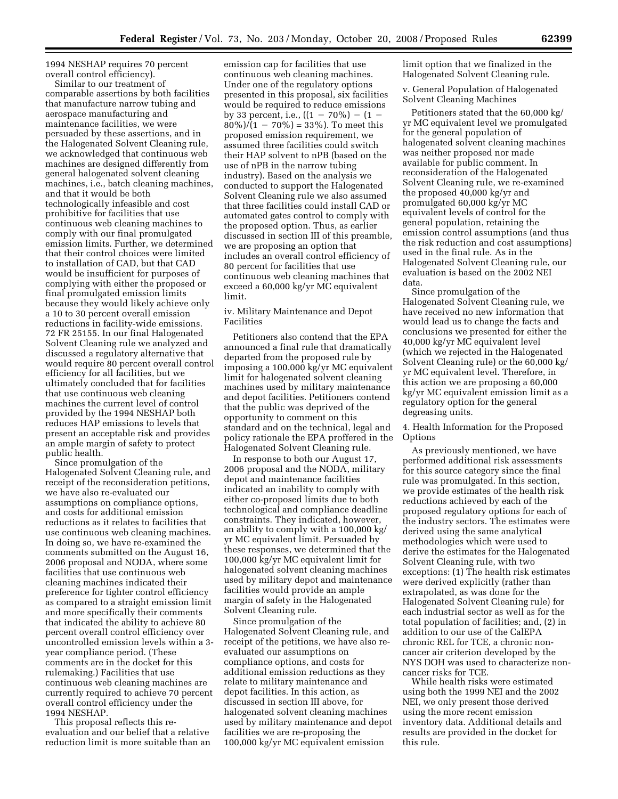1994 NESHAP requires 70 percent overall control efficiency).

Similar to our treatment of comparable assertions by both facilities that manufacture narrow tubing and aerospace manufacturing and maintenance facilities, we were persuaded by these assertions, and in the Halogenated Solvent Cleaning rule, we acknowledged that continuous web machines are designed differently from general halogenated solvent cleaning machines, i.e., batch cleaning machines, and that it would be both technologically infeasible and cost prohibitive for facilities that use continuous web cleaning machines to comply with our final promulgated emission limits. Further, we determined that their control choices were limited to installation of CAD, but that CAD would be insufficient for purposes of complying with either the proposed or final promulgated emission limits because they would likely achieve only a 10 to 30 percent overall emission reductions in facility-wide emissions. 72 FR 25155. In our final Halogenated Solvent Cleaning rule we analyzed and discussed a regulatory alternative that would require 80 percent overall control efficiency for all facilities, but we ultimately concluded that for facilities that use continuous web cleaning machines the current level of control provided by the 1994 NESHAP both reduces HAP emissions to levels that present an acceptable risk and provides an ample margin of safety to protect public health.

Since promulgation of the Halogenated Solvent Cleaning rule, and receipt of the reconsideration petitions, we have also re-evaluated our assumptions on compliance options, and costs for additional emission reductions as it relates to facilities that use continuous web cleaning machines. In doing so, we have re-examined the comments submitted on the August 16, 2006 proposal and NODA, where some facilities that use continuous web cleaning machines indicated their preference for tighter control efficiency as compared to a straight emission limit and more specifically their comments that indicated the ability to achieve 80 percent overall control efficiency over uncontrolled emission levels within a 3 year compliance period. (These comments are in the docket for this rulemaking.) Facilities that use continuous web cleaning machines are currently required to achieve 70 percent overall control efficiency under the 1994 NESHAP.

This proposal reflects this reevaluation and our belief that a relative reduction limit is more suitable than an

emission cap for facilities that use continuous web cleaning machines. Under one of the regulatory options presented in this proposal, six facilities would be required to reduce emissions by 33 percent, i.e.,  $((1 - 70\%) - (1 80\%/1 - 70\%) = 33\%$ . To meet this proposed emission requirement, we assumed three facilities could switch their HAP solvent to nPB (based on the use of nPB in the narrow tubing industry). Based on the analysis we conducted to support the Halogenated Solvent Cleaning rule we also assumed that three facilities could install CAD or automated gates control to comply with the proposed option. Thus, as earlier discussed in section III of this preamble, we are proposing an option that includes an overall control efficiency of 80 percent for facilities that use continuous web cleaning machines that exceed a 60,000 kg/yr MC equivalent limit.

iv. Military Maintenance and Depot Facilities

Petitioners also contend that the EPA announced a final rule that dramatically departed from the proposed rule by imposing a 100,000 kg/yr MC equivalent limit for halogenated solvent cleaning machines used by military maintenance and depot facilities. Petitioners contend that the public was deprived of the opportunity to comment on this standard and on the technical, legal and policy rationale the EPA proffered in the Halogenated Solvent Cleaning rule.

In response to both our August 17, 2006 proposal and the NODA, military depot and maintenance facilities indicated an inability to comply with either co-proposed limits due to both technological and compliance deadline constraints. They indicated, however, an ability to comply with a 100,000 kg/ yr MC equivalent limit. Persuaded by these responses, we determined that the 100,000 kg/yr MC equivalent limit for halogenated solvent cleaning machines used by military depot and maintenance facilities would provide an ample margin of safety in the Halogenated Solvent Cleaning rule.

Since promulgation of the Halogenated Solvent Cleaning rule, and receipt of the petitions, we have also reevaluated our assumptions on compliance options, and costs for additional emission reductions as they relate to military maintenance and depot facilities. In this action, as discussed in section III above, for halogenated solvent cleaning machines used by military maintenance and depot facilities we are re-proposing the 100,000 kg/yr MC equivalent emission

limit option that we finalized in the Halogenated Solvent Cleaning rule.

v. General Population of Halogenated Solvent Cleaning Machines

Petitioners stated that the 60,000 kg/ yr MC equivalent level we promulgated for the general population of halogenated solvent cleaning machines was neither proposed nor made available for public comment. In reconsideration of the Halogenated Solvent Cleaning rule, we re-examined the proposed 40,000 kg/yr and promulgated 60,000 kg/yr MC equivalent levels of control for the general population, retaining the emission control assumptions (and thus the risk reduction and cost assumptions) used in the final rule. As in the Halogenated Solvent Cleaning rule, our evaluation is based on the 2002 NEI data.

Since promulgation of the Halogenated Solvent Cleaning rule, we have received no new information that would lead us to change the facts and conclusions we presented for either the 40,000 kg/yr MC equivalent level (which we rejected in the Halogenated Solvent Cleaning rule) or the 60,000 kg/ yr MC equivalent level. Therefore, in this action we are proposing a 60,000 kg/yr MC equivalent emission limit as a regulatory option for the general degreasing units.

4. Health Information for the Proposed Options

As previously mentioned, we have performed additional risk assessments for this source category since the final rule was promulgated. In this section, we provide estimates of the health risk reductions achieved by each of the proposed regulatory options for each of the industry sectors. The estimates were derived using the same analytical methodologies which were used to derive the estimates for the Halogenated Solvent Cleaning rule, with two exceptions: (1) The health risk estimates were derived explicitly (rather than extrapolated, as was done for the Halogenated Solvent Cleaning rule) for each industrial sector as well as for the total population of facilities; and, (2) in addition to our use of the CalEPA chronic REL for TCE, a chronic noncancer air criterion developed by the NYS DOH was used to characterize noncancer risks for TCE.

While health risks were estimated using both the 1999 NEI and the 2002 NEI, we only present those derived using the more recent emission inventory data. Additional details and results are provided in the docket for this rule.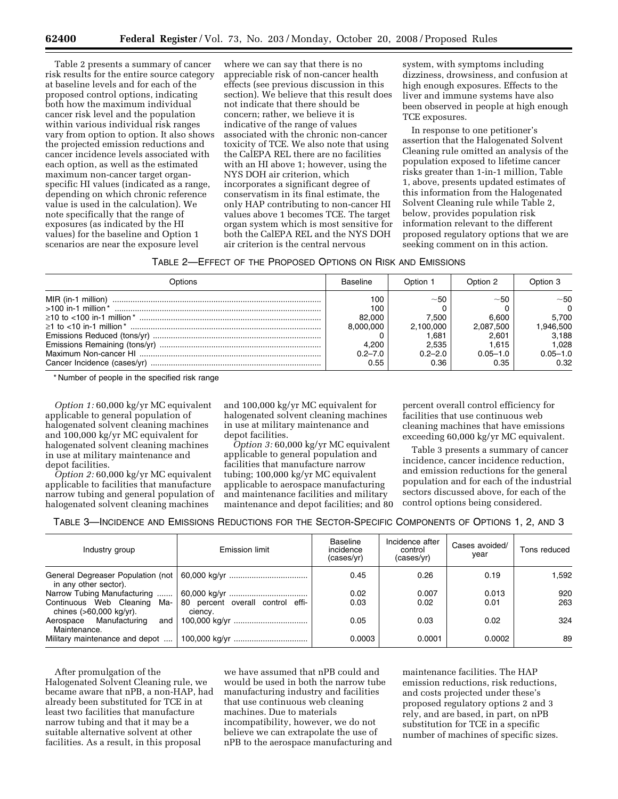Table 2 presents a summary of cancer risk results for the entire source category at baseline levels and for each of the proposed control options, indicating both how the maximum individual cancer risk level and the population within various individual risk ranges vary from option to option. It also shows the projected emission reductions and cancer incidence levels associated with each option, as well as the estimated maximum non-cancer target organspecific HI values (indicated as a range, depending on which chronic reference value is used in the calculation). We note specifically that the range of exposures (as indicated by the HI values) for the baseline and Option 1 scenarios are near the exposure level

where we can say that there is no appreciable risk of non-cancer health effects (see previous discussion in this section). We believe that this result does not indicate that there should be concern; rather, we believe it is indicative of the range of values associated with the chronic non-cancer toxicity of TCE. We also note that using the CalEPA REL there are no facilities with an HI above 1; however, using the NYS DOH air criterion, which incorporates a significant degree of conservatism in its final estimate, the only HAP contributing to non-cancer HI values above 1 becomes TCE. The target organ system which is most sensitive for both the CalEPA REL and the NYS DOH air criterion is the central nervous

system, with symptoms including dizziness, drowsiness, and confusion at high enough exposures. Effects to the liver and immune systems have also been observed in people at high enough TCE exposures.

In response to one petitioner's assertion that the Halogenated Solvent Cleaning rule omitted an analysis of the population exposed to lifetime cancer risks greater than 1-in-1 million, Table 1, above, presents updated estimates of this information from the Halogenated Solvent Cleaning rule while Table 2, below, provides population risk information relevant to the different proposed regulatory options that we are seeking comment on in this action.

| Table 2—Effect of the Proposed Options on Risk and Emissions |
|--------------------------------------------------------------|
|--------------------------------------------------------------|

| Options | <b>Baseline</b> | Option 1    | Option 2     | Option 3     |
|---------|-----------------|-------------|--------------|--------------|
|         | 100             | ~50         | $~1$ –50     | ~50          |
|         | 100             |             |              | $\Omega$     |
|         | 82.000          | 7.500       | 6.600        | 5.700        |
|         | 8.000.000       | 2.100.000   | 2.087.500    | 946,500      |
|         |                 | 1.681       | 2.601        | 3.188        |
|         | 4.200           | 2.535       | 1.615        | 1.028        |
|         | $0.2 - 7.0$     | $0.2 - 2.0$ | $0.05 - 1.0$ | $0.05 - 1.0$ |
|         | 0.55            | 0.36        | 0.35         | 0.32         |

\* Number of people in the specified risk range

*Option 1:* 60,000 kg/yr MC equivalent applicable to general population of halogenated solvent cleaning machines and 100,000 kg/yr MC equivalent for halogenated solvent cleaning machines in use at military maintenance and depot facilities.

*Option 2:* 60,000 kg/yr MC equivalent applicable to facilities that manufacture narrow tubing and general population of halogenated solvent cleaning machines

and 100,000 kg/yr MC equivalent for halogenated solvent cleaning machines in use at military maintenance and depot facilities.

*Option 3:* 60,000 kg/yr MC equivalent applicable to general population and facilities that manufacture narrow tubing; 100,000 kg/yr MC equivalent applicable to aerospace manufacturing and maintenance facilities and military maintenance and depot facilities; and 80

percent overall control efficiency for facilities that use continuous web cleaning machines that have emissions exceeding 60,000 kg/yr MC equivalent.

Table 3 presents a summary of cancer incidence, cancer incidence reduction, and emission reductions for the general population and for each of the industrial sectors discussed above, for each of the control options being considered.

TABLE 3—INCIDENCE AND EMISSIONS REDUCTIONS FOR THE SECTOR-SPECIFIC COMPONENTS OF OPTIONS 1, 2, AND 3

| Industry group                                             | Emission limit                              | Baseline<br>incidence<br>(cases/yr) | Incidence after<br>control<br>(cases/yr) | Cases avoided/<br>year | Tons reduced |
|------------------------------------------------------------|---------------------------------------------|-------------------------------------|------------------------------------------|------------------------|--------------|
| General Degreaser Population (not<br>in any other sector). |                                             | 0.45                                | 0.26                                     | 0.19                   | 1.592        |
| Narrow Tubing Manufacturing                                |                                             | 0.02                                | 0.007                                    | 0.013                  | 920          |
| Continuous Web Cleaning Ma-<br>chines (>60,000 kg/yr).     | 80 percent overall control effi-<br>ciency. | 0.03                                | 0.02                                     | 0.01                   | 263          |
| Manufacturing<br>Aerospace<br>and<br>Maintenance.          |                                             | 0.05                                | 0.03                                     | 0.02                   | 324          |
| Military maintenance and depot                             | 100,000 kg/yr                               | 0.0003                              | 0.0001                                   | 0.0002                 | 89           |

After promulgation of the Halogenated Solvent Cleaning rule, we became aware that nPB, a non-HAP, had already been substituted for TCE in at least two facilities that manufacture narrow tubing and that it may be a suitable alternative solvent at other facilities. As a result, in this proposal

we have assumed that nPB could and would be used in both the narrow tube manufacturing industry and facilities that use continuous web cleaning machines. Due to materials incompatibility, however, we do not believe we can extrapolate the use of nPB to the aerospace manufacturing and maintenance facilities. The HAP emission reductions, risk reductions, and costs projected under these's proposed regulatory options 2 and 3 rely, and are based, in part, on nPB substitution for TCE in a specific number of machines of specific sizes.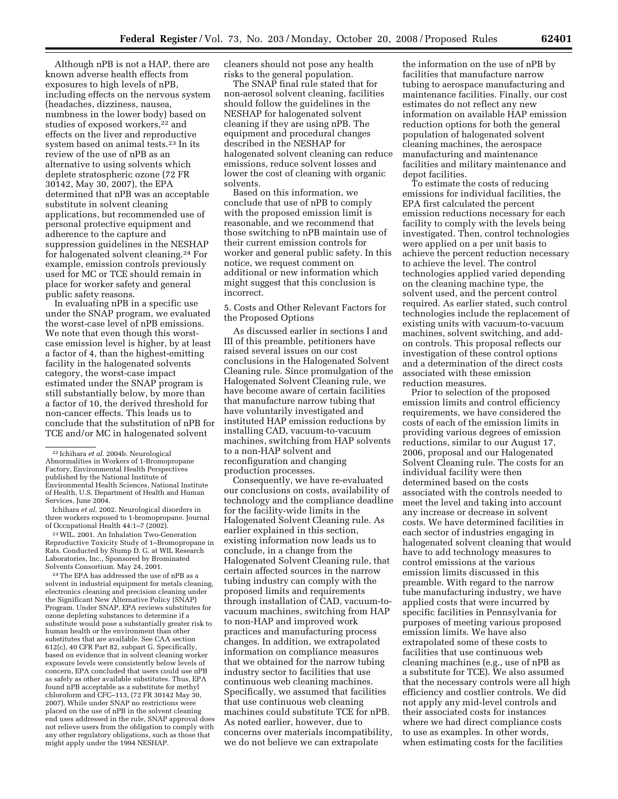Although nPB is not a HAP, there are known adverse health effects from exposures to high levels of nPB, including effects on the nervous system (headaches, dizziness, nausea, numbness in the lower body) based on studies of exposed workers,<sup>22</sup> and effects on the liver and reproductive system based on animal tests.23 In its review of the use of nPB as an alternative to using solvents which deplete stratospheric ozone (72 FR 30142, May 30, 2007), the EPA determined that nPB was an acceptable substitute in solvent cleaning applications, but recommended use of personal protective equipment and adherence to the capture and suppression guidelines in the NESHAP

for halogenated solvent cleaning.24 For example, emission controls previously used for MC or TCE should remain in place for worker safety and general public safety reasons. In evaluating nPB in a specific use

under the SNAP program, we evaluated the worst-case level of nPB emissions. We note that even though this worstcase emission level is higher, by at least a factor of 4, than the highest-emitting facility in the halogenated solvents category, the worst-case impact estimated under the SNAP program is still substantially below, by more than a factor of 10, the derived threshold for non-cancer effects. This leads us to conclude that the substitution of nPB for TCE and/or MC in halogenated solvent

Ichihara *et al.* 2002. Neurological disorders in three workers exposed to 1-bromopropane. Journal of Occupational Health 44:1–7 (2002).

23WIL. 2001. An Inhalation Two-Generation Reproductive Toxicity Study of 1–Bromopropane in Rats. Conducted by Stump D. G. at WIL Research Laboratories, Inc., Sponsored by Brominated Solvents Consortium. May 24, 2001.

24The EPA has addressed the use of nPB as a solvent in industrial equipment for metals cleaning, electronics cleaning and precision cleaning under the Significant New Alternative Policy (SNAP) Program. Under SNAP, EPA reviews substitutes for ozone depleting substances to determine if a substitute would pose a substantially greater risk to human health or the environment than other substitutes that are available. See CAA section 612(c), 40 CFR Part 82, subpart G. Specifically, based on evidence that in solvent cleaning worker exposure levels were consistently below levels of concern, EPA concluded that users could use nPB as safely as other available substitutes. Thus, EPA found nPB acceptable as a substitute for methyl chloroform and CFC–113, (72 FR 30142 May 30, 2007). While under SNAP no restrictions were placed on the use of nPB in the solvent cleaning end uses addressed in the rule, SNAP approval does not relieve users from the obligation to comply with any other regulatory obligations, such as those that might apply under the 1994 NESHAP.

cleaners should not pose any health risks to the general population.

The SNAP final rule stated that for non-aerosol solvent cleaning, facilities should follow the guidelines in the NESHAP for halogenated solvent cleaning if they are using nPB. The equipment and procedural changes described in the NESHAP for halogenated solvent cleaning can reduce emissions, reduce solvent losses and lower the cost of cleaning with organic solvents.

Based on this information, we conclude that use of nPB to comply with the proposed emission limit is reasonable, and we recommend that those switching to nPB maintain use of their current emission controls for worker and general public safety. In this notice, we request comment on additional or new information which might suggest that this conclusion is incorrect.

5. Costs and Other Relevant Factors for the Proposed Options

As discussed earlier in sections I and III of this preamble, petitioners have raised several issues on our cost conclusions in the Halogenated Solvent Cleaning rule. Since promulgation of the Halogenated Solvent Cleaning rule, we have become aware of certain facilities that manufacture narrow tubing that have voluntarily investigated and instituted HAP emission reductions by installing CAD, vacuum-to-vacuum machines, switching from HAP solvents to a non-HAP solvent and reconfiguration and changing production processes.

Consequently, we have re-evaluated our conclusions on costs, availability of technology and the compliance deadline for the facility-wide limits in the Halogenated Solvent Cleaning rule. As earlier explained in this section, existing information now leads us to conclude, in a change from the Halogenated Solvent Cleaning rule, that certain affected sources in the narrow tubing industry can comply with the proposed limits and requirements through installation of CAD, vacuum-tovacuum machines, switching from HAP to non-HAP and improved work practices and manufacturing process changes. In addition, we extrapolated information on compliance measures that we obtained for the narrow tubing industry sector to facilities that use continuous web cleaning machines. Specifically, we assumed that facilities that use continuous web cleaning machines could substitute TCE for nPB. As noted earlier, however, due to concerns over materials incompatibility, we do not believe we can extrapolate

the information on the use of nPB by facilities that manufacture narrow tubing to aerospace manufacturing and maintenance facilities. Finally, our cost estimates do not reflect any new information on available HAP emission reduction options for both the general population of halogenated solvent cleaning machines, the aerospace manufacturing and maintenance facilities and military maintenance and depot facilities.

To estimate the costs of reducing emissions for individual facilities, the EPA first calculated the percent emission reductions necessary for each facility to comply with the levels being investigated. Then, control technologies were applied on a per unit basis to achieve the percent reduction necessary to achieve the level. The control technologies applied varied depending on the cleaning machine type, the solvent used, and the percent control required. As earlier stated, such control technologies include the replacement of existing units with vacuum-to-vacuum machines, solvent switching, and addon controls. This proposal reflects our investigation of these control options and a determination of the direct costs associated with these emission reduction measures.

Prior to selection of the proposed emission limits and control efficiency requirements, we have considered the costs of each of the emission limits in providing various degrees of emission reductions, similar to our August 17, 2006, proposal and our Halogenated Solvent Cleaning rule. The costs for an individual facility were then determined based on the costs associated with the controls needed to meet the level and taking into account any increase or decrease in solvent costs. We have determined facilities in each sector of industries engaging in halogenated solvent cleaning that would have to add technology measures to control emissions at the various emission limits discussed in this preamble. With regard to the narrow tube manufacturing industry, we have applied costs that were incurred by specific facilities in Pennsylvania for purposes of meeting various proposed emission limits. We have also extrapolated some of these costs to facilities that use continuous web cleaning machines (e.g., use of nPB as a substitute for TCE). We also assumed that the necessary controls were all high efficiency and costlier controls. We did not apply any mid-level controls and their associated costs for instances where we had direct compliance costs to use as examples. In other words, when estimating costs for the facilities

<sup>22</sup> Ichihara *et al.* 2004b. Neurological Abnormalities in Workers of 1-Bromopropane Factory, Environmental Health Perspectives published by the National Institute of Environmental Health Sciences, National Institute of Health, U.S. Department of Health and Human Services, June 2004.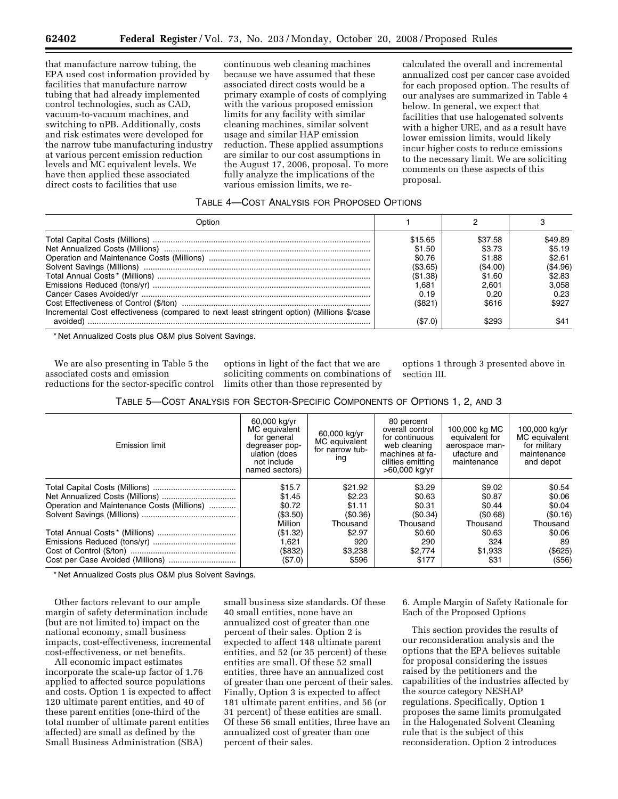that manufacture narrow tubing, the EPA used cost information provided by facilities that manufacture narrow tubing that had already implemented control technologies, such as CAD, vacuum-to-vacuum machines, and switching to nPB. Additionally, costs and risk estimates were developed for the narrow tube manufacturing industry at various percent emission reduction levels and MC equivalent levels. We have then applied these associated direct costs to facilities that use

continuous web cleaning machines because we have assumed that these associated direct costs would be a primary example of costs of complying with the various proposed emission limits for any facility with similar cleaning machines, similar solvent usage and similar HAP emission reduction. These applied assumptions are similar to our cost assumptions in the August 17, 2006, proposal. To more fully analyze the implications of the various emission limits, we re-

calculated the overall and incremental annualized cost per cancer case avoided for each proposed option. The results of our analyses are summarized in Table 4 below. In general, we expect that facilities that use halogenated solvents with a higher URE, and as a result have lower emission limits, would likely incur higher costs to reduce emissions to the necessary limit. We are soliciting comments on these aspects of this proposal.

#### TABLE 4—COST ANALYSIS FOR PROPOSED OPTIONS

| วิntion                                                                                    |          |         |          |
|--------------------------------------------------------------------------------------------|----------|---------|----------|
|                                                                                            | \$15.65  | \$37.58 | \$49.89  |
|                                                                                            | \$1.50   | \$3.73  | \$5.19   |
|                                                                                            | \$0.76   | \$1.88  | \$2.61   |
|                                                                                            | (\$3.65) | (S4.00) | (\$4.96) |
|                                                                                            | (\$1.38) | \$1.60  | \$2.83   |
|                                                                                            | .681     | 2.601   | 3.058    |
|                                                                                            | 0.19     | 0.20    | 0.23     |
|                                                                                            | (\$821)  | \$616   | \$927    |
| Incremental Cost effectiveness (compared to next least stringent option) (Millions \$/case |          |         |          |
| avoided)                                                                                   | (\$7.0)  |         |          |

\* Net Annualized Costs plus O&M plus Solvent Savings.

We are also presenting in Table 5 the associated costs and emission reductions for the sector-specific control

options in light of the fact that we are soliciting comments on combinations of limits other than those represented by

options 1 through 3 presented above in section III.

| <b>Emission limit</b>                      | 60,000 kg/yr<br>MC equivalent<br>for general<br>degreaser pop-<br>ulation (does<br>not include<br>named sectors) | 60,000 kg/yr<br>MC equivalent<br>for narrow tub-<br>ing | 80 percent<br>overall control<br>for continuous<br>web cleaning<br>machines at fa-<br>cilities emitting<br>>60,000 kg/yr | 100,000 kg MC<br>equivalent for<br>aerospace man-<br>ufacture and<br>maintenance | 100,000 kg/yr<br>MC equivalent<br>for military<br>maintenance<br>and depot |
|--------------------------------------------|------------------------------------------------------------------------------------------------------------------|---------------------------------------------------------|--------------------------------------------------------------------------------------------------------------------------|----------------------------------------------------------------------------------|----------------------------------------------------------------------------|
|                                            | \$15.7                                                                                                           | \$21.92                                                 | \$3.29                                                                                                                   | \$9.02                                                                           | \$0.54                                                                     |
|                                            | \$1.45                                                                                                           | \$2.23                                                  | \$0.63                                                                                                                   | \$0.87                                                                           | \$0.06                                                                     |
| Operation and Maintenance Costs (Millions) | \$0.72                                                                                                           | \$1.11                                                  | \$0.31                                                                                                                   | \$0.44                                                                           | \$0.04                                                                     |
|                                            | (\$3.50)                                                                                                         | (\$0.36)                                                | (\$0.34)                                                                                                                 | (\$0.68)                                                                         | (S0.16)                                                                    |
|                                            | Million                                                                                                          | Thousand                                                | Thousand                                                                                                                 | Thousand                                                                         | Thousand                                                                   |
|                                            | (\$1.32)                                                                                                         | \$2.97                                                  | \$0.60                                                                                                                   | \$0.63                                                                           | \$0.06                                                                     |
|                                            | 1,621                                                                                                            | 920                                                     | 290                                                                                                                      | 324                                                                              | 89                                                                         |
|                                            | (\$832)                                                                                                          | \$3,238                                                 | \$2.774                                                                                                                  | \$1,933                                                                          | (\$625)                                                                    |
| Cost per Case Avoided (Millions)           | (\$7.0)                                                                                                          | \$596                                                   | \$177                                                                                                                    | \$31                                                                             | (\$56)                                                                     |

\* Net Annualized Costs plus O&M plus Solvent Savings.

Other factors relevant to our ample margin of safety determination include (but are not limited to) impact on the national economy, small business impacts, cost-effectiveness, incremental cost-effectiveness, or net benefits.

All economic impact estimates incorporate the scale-up factor of 1.76 applied to affected source populations and costs. Option 1 is expected to affect 120 ultimate parent entities, and 40 of these parent entities (one-third of the total number of ultimate parent entities affected) are small as defined by the Small Business Administration (SBA)

small business size standards. Of these 40 small entities, none have an annualized cost of greater than one percent of their sales. Option 2 is expected to affect 148 ultimate parent entities, and 52 (or 35 percent) of these entities are small. Of these 52 small entities, three have an annualized cost of greater than one percent of their sales. Finally, Option 3 is expected to affect 181 ultimate parent entities, and 56 (or 31 percent) of these entities are small. Of these 56 small entities, three have an annualized cost of greater than one percent of their sales.

6. Ample Margin of Safety Rationale for Each of the Proposed Options

This section provides the results of our reconsideration analysis and the options that the EPA believes suitable for proposal considering the issues raised by the petitioners and the capabilities of the industries affected by the source category NESHAP regulations. Specifically, Option 1 proposes the same limits promulgated in the Halogenated Solvent Cleaning rule that is the subject of this reconsideration. Option 2 introduces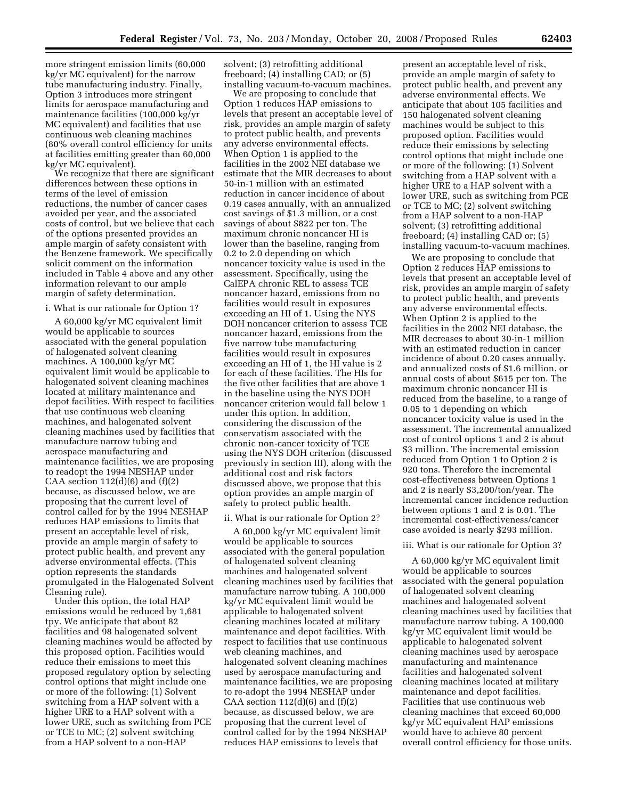more stringent emission limits (60,000 kg/yr MC equivalent) for the narrow tube manufacturing industry. Finally, Option 3 introduces more stringent limits for aerospace manufacturing and maintenance facilities (100,000 kg/yr MC equivalent) and facilities that use continuous web cleaning machines (80% overall control efficiency for units at facilities emitting greater than 60,000 kg/yr MC equivalent).

We recognize that there are significant differences between these options in terms of the level of emission reductions, the number of cancer cases avoided per year, and the associated costs of control, but we believe that each of the options presented provides an ample margin of safety consistent with the Benzene framework. We specifically solicit comment on the information included in Table 4 above and any other information relevant to our ample margin of safety determination.

#### i. What is our rationale for Option 1?

A 60,000 kg/yr MC equivalent limit would be applicable to sources associated with the general population of halogenated solvent cleaning machines. A 100,000 kg/yr MC equivalent limit would be applicable to halogenated solvent cleaning machines located at military maintenance and depot facilities. With respect to facilities that use continuous web cleaning machines, and halogenated solvent cleaning machines used by facilities that manufacture narrow tubing and aerospace manufacturing and maintenance facilities, we are proposing to readopt the 1994 NESHAP under CAA section  $112(d)(6)$  and  $(f)(2)$ because, as discussed below, we are proposing that the current level of control called for by the 1994 NESHAP reduces HAP emissions to limits that present an acceptable level of risk, provide an ample margin of safety to protect public health, and prevent any adverse environmental effects. (This option represents the standards promulgated in the Halogenated Solvent Cleaning rule).

Under this option, the total HAP emissions would be reduced by 1,681 tpy. We anticipate that about 82 facilities and 98 halogenated solvent cleaning machines would be affected by this proposed option. Facilities would reduce their emissions to meet this proposed regulatory option by selecting control options that might include one or more of the following: (1) Solvent switching from a HAP solvent with a higher URE to a HAP solvent with a lower URE, such as switching from PCE or TCE to MC; (2) solvent switching from a HAP solvent to a non-HAP

solvent; (3) retrofitting additional freeboard; (4) installing CAD; or (5) installing vacuum-to-vacuum machines.

We are proposing to conclude that Option 1 reduces HAP emissions to levels that present an acceptable level of risk, provides an ample margin of safety to protect public health, and prevents any adverse environmental effects. When Option 1 is applied to the facilities in the 2002 NEI database we estimate that the MIR decreases to about 50-in-1 million with an estimated reduction in cancer incidence of about 0.19 cases annually, with an annualized cost savings of \$1.3 million, or a cost savings of about \$822 per ton. The maximum chronic noncancer HI is lower than the baseline, ranging from 0.2 to 2.0 depending on which noncancer toxicity value is used in the assessment. Specifically, using the CalEPA chronic REL to assess TCE noncancer hazard, emissions from no facilities would result in exposures exceeding an HI of 1. Using the NYS DOH noncancer criterion to assess TCE noncancer hazard, emissions from the five narrow tube manufacturing facilities would result in exposures exceeding an HI of 1, the HI value is 2 for each of these facilities. The HIs for the five other facilities that are above 1 in the baseline using the NYS DOH noncancer criterion would fall below 1 under this option. In addition, considering the discussion of the conservatism associated with the chronic non-cancer toxicity of TCE using the NYS DOH criterion (discussed previously in section III), along with the additional cost and risk factors discussed above, we propose that this option provides an ample margin of safety to protect public health.

#### ii. What is our rationale for Option 2?

A 60,000 kg/yr MC equivalent limit would be applicable to sources associated with the general population of halogenated solvent cleaning machines and halogenated solvent cleaning machines used by facilities that manufacture narrow tubing. A 100,000 kg/yr MC equivalent limit would be applicable to halogenated solvent cleaning machines located at military maintenance and depot facilities. With respect to facilities that use continuous web cleaning machines, and halogenated solvent cleaning machines used by aerospace manufacturing and maintenance facilities, we are proposing to re-adopt the 1994 NESHAP under CAA section  $112(d)(6)$  and  $(f)(2)$ because, as discussed below, we are proposing that the current level of control called for by the 1994 NESHAP reduces HAP emissions to levels that

present an acceptable level of risk, provide an ample margin of safety to protect public health, and prevent any adverse environmental effects. We anticipate that about 105 facilities and 150 halogenated solvent cleaning machines would be subject to this proposed option. Facilities would reduce their emissions by selecting control options that might include one or more of the following: (1) Solvent switching from a HAP solvent with a higher URE to a HAP solvent with a lower URE, such as switching from PCE or TCE to MC; (2) solvent switching from a HAP solvent to a non-HAP solvent; (3) retrofitting additional freeboard; (4) installing CAD or; (5) installing vacuum-to-vacuum machines.

We are proposing to conclude that Option 2 reduces HAP emissions to levels that present an acceptable level of risk, provides an ample margin of safety to protect public health, and prevents any adverse environmental effects. When Option 2 is applied to the facilities in the 2002 NEI database, the MIR decreases to about 30-in-1 million with an estimated reduction in cancer incidence of about 0.20 cases annually, and annualized costs of \$1.6 million, or annual costs of about \$615 per ton. The maximum chronic noncancer HI is reduced from the baseline, to a range of 0.05 to 1 depending on which noncancer toxicity value is used in the assessment. The incremental annualized cost of control options 1 and 2 is about \$3 million. The incremental emission reduced from Option 1 to Option 2 is 920 tons. Therefore the incremental cost-effectiveness between Options 1 and 2 is nearly \$3,200/ton/year. The incremental cancer incidence reduction between options 1 and 2 is 0.01. The incremental cost-effectiveness/cancer case avoided is nearly \$293 million.

#### iii. What is our rationale for Option 3?

A 60,000 kg/yr MC equivalent limit would be applicable to sources associated with the general population of halogenated solvent cleaning machines and halogenated solvent cleaning machines used by facilities that manufacture narrow tubing. A 100,000 kg/yr MC equivalent limit would be applicable to halogenated solvent cleaning machines used by aerospace manufacturing and maintenance facilities and halogenated solvent cleaning machines located at military maintenance and depot facilities. Facilities that use continuous web cleaning machines that exceed 60,000 kg/yr MC equivalent HAP emissions would have to achieve 80 percent overall control efficiency for those units.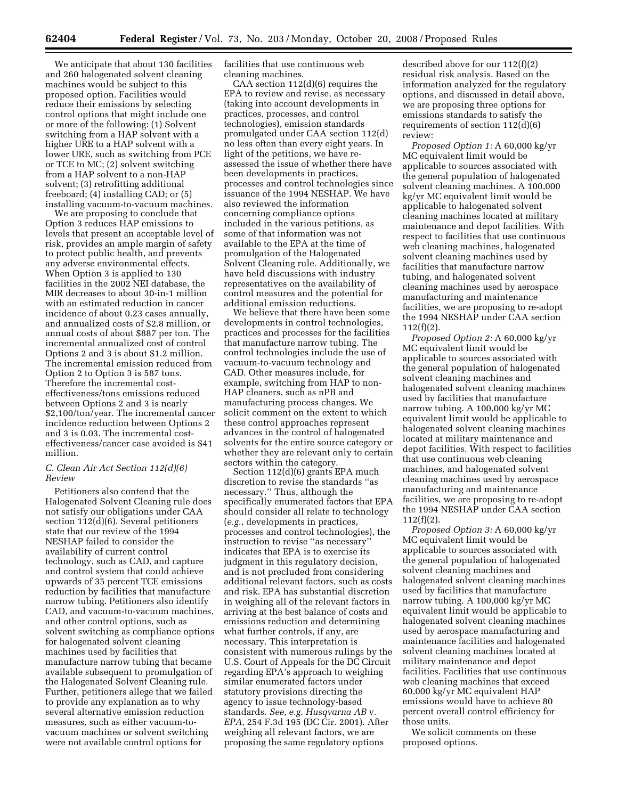We anticipate that about 130 facilities and 260 halogenated solvent cleaning machines would be subject to this proposed option. Facilities would reduce their emissions by selecting control options that might include one or more of the following: (1) Solvent switching from a HAP solvent with a higher URE to a HAP solvent with a lower URE, such as switching from PCE or TCE to MC; (2) solvent switching from a HAP solvent to a non-HAP solvent; (3) retrofitting additional freeboard; (4) installing CAD; or (5) installing vacuum-to-vacuum machines.

We are proposing to conclude that Option 3 reduces HAP emissions to levels that present an acceptable level of risk, provides an ample margin of safety to protect public health, and prevents any adverse environmental effects. When Option 3 is applied to 130 facilities in the 2002 NEI database, the MIR decreases to about 30-in-1 million with an estimated reduction in cancer incidence of about 0.23 cases annually, and annualized costs of \$2.8 million, or annual costs of about \$887 per ton. The incremental annualized cost of control Options 2 and 3 is about \$1.2 million. The incremental emission reduced from Option 2 to Option 3 is 587 tons. Therefore the incremental costeffectiveness/tons emissions reduced between Options 2 and 3 is nearly \$2,100/ton/year. The incremental cancer incidence reduction between Options 2 and 3 is 0.03. The incremental costeffectiveness/cancer case avoided is \$41 million.

#### *C. Clean Air Act Section 112(d)(6) Review*

Petitioners also contend that the Halogenated Solvent Cleaning rule does not satisfy our obligations under CAA section 112(d)(6). Several petitioners state that our review of the 1994 NESHAP failed to consider the availability of current control technology, such as CAD, and capture and control system that could achieve upwards of 35 percent TCE emissions reduction by facilities that manufacture narrow tubing. Petitioners also identify CAD, and vacuum-to-vacuum machines, and other control options, such as solvent switching as compliance options for halogenated solvent cleaning machines used by facilities that manufacture narrow tubing that became available subsequent to promulgation of the Halogenated Solvent Cleaning rule. Further, petitioners allege that we failed to provide any explanation as to why several alternative emission reduction measures, such as either vacuum-tovacuum machines or solvent switching were not available control options for

facilities that use continuous web cleaning machines.

CAA section 112(d)(6) requires the EPA to review and revise, as necessary (taking into account developments in practices, processes, and control technologies), emission standards promulgated under CAA section 112(d) no less often than every eight years. In light of the petitions, we have reassessed the issue of whether there have been developments in practices, processes and control technologies since issuance of the 1994 NESHAP. We have also reviewed the information concerning compliance options included in the various petitions, as some of that information was not available to the EPA at the time of promulgation of the Halogenated Solvent Cleaning rule. Additionally, we have held discussions with industry representatives on the availability of control measures and the potential for additional emission reductions.

We believe that there have been some developments in control technologies, practices and processes for the facilities that manufacture narrow tubing. The control technologies include the use of vacuum-to-vacuum technology and CAD. Other measures include, for example, switching from HAP to non-HAP cleaners, such as nPB and manufacturing process changes. We solicit comment on the extent to which these control approaches represent advances in the control of halogenated solvents for the entire source category or whether they are relevant only to certain sectors within the category.

Section 112(d)(6) grants EPA much discretion to revise the standards ''as necessary.'' Thus, although the specifically enumerated factors that EPA should consider all relate to technology (*e.g.*, developments in practices, processes and control technologies), the instruction to revise ''as necessary'' indicates that EPA is to exercise its judgment in this regulatory decision, and is not precluded from considering additional relevant factors, such as costs and risk. EPA has substantial discretion in weighing all of the relevant factors in arriving at the best balance of costs and emissions reduction and determining what further controls, if any, are necessary. This interpretation is consistent with numerous rulings by the U.S. Court of Appeals for the DC Circuit regarding EPA's approach to weighing similar enumerated factors under statutory provisions directing the agency to issue technology-based standards. *See, e.g. Husqvarna AB* v. *EPA*, 254 F.3d 195 (DC Cir. 2001). After weighing all relevant factors, we are proposing the same regulatory options

described above for our 112(f)(2) residual risk analysis. Based on the information analyzed for the regulatory options, and discussed in detail above, we are proposing three options for emissions standards to satisfy the requirements of section 112(d)(6) review:

*Proposed Option 1:* A 60,000 kg/yr MC equivalent limit would be applicable to sources associated with the general population of halogenated solvent cleaning machines. A 100,000 kg/yr MC equivalent limit would be applicable to halogenated solvent cleaning machines located at military maintenance and depot facilities. With respect to facilities that use continuous web cleaning machines, halogenated solvent cleaning machines used by facilities that manufacture narrow tubing, and halogenated solvent cleaning machines used by aerospace manufacturing and maintenance facilities, we are proposing to re-adopt the 1994 NESHAP under CAA section 112(f)(2).

*Proposed Option 2:* A 60,000 kg/yr MC equivalent limit would be applicable to sources associated with the general population of halogenated solvent cleaning machines and halogenated solvent cleaning machines used by facilities that manufacture narrow tubing. A 100,000 kg/yr MC equivalent limit would be applicable to halogenated solvent cleaning machines located at military maintenance and depot facilities. With respect to facilities that use continuous web cleaning machines, and halogenated solvent cleaning machines used by aerospace manufacturing and maintenance facilities, we are proposing to re-adopt the 1994 NESHAP under CAA section 112(f)(2).

*Proposed Option 3:* A 60,000 kg/yr MC equivalent limit would be applicable to sources associated with the general population of halogenated solvent cleaning machines and halogenated solvent cleaning machines used by facilities that manufacture narrow tubing. A 100,000 kg/yr MC equivalent limit would be applicable to halogenated solvent cleaning machines used by aerospace manufacturing and maintenance facilities and halogenated solvent cleaning machines located at military maintenance and depot facilities. Facilities that use continuous web cleaning machines that exceed 60,000 kg/yr MC equivalent HAP emissions would have to achieve 80 percent overall control efficiency for those units.

We solicit comments on these proposed options.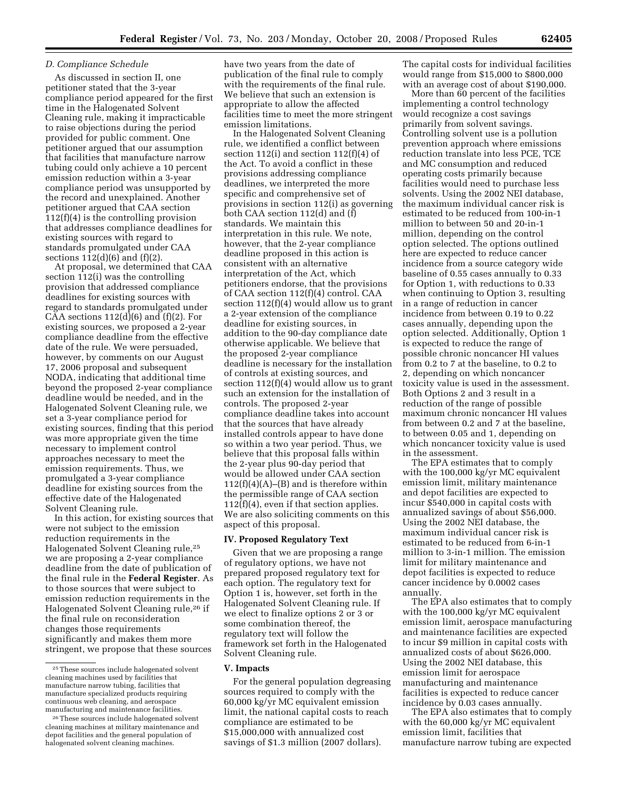#### *D. Compliance Schedule*

As discussed in section II, one petitioner stated that the 3-year compliance period appeared for the first time in the Halogenated Solvent Cleaning rule, making it impracticable to raise objections during the period provided for public comment. One petitioner argued that our assumption that facilities that manufacture narrow tubing could only achieve a 10 percent emission reduction within a 3-year compliance period was unsupported by the record and unexplained. Another petitioner argued that CAA section 112(f)(4) is the controlling provision that addresses compliance deadlines for existing sources with regard to standards promulgated under CAA sections  $112(d)(6)$  and  $(f)(2)$ .

At proposal, we determined that CAA section 112(i) was the controlling provision that addressed compliance deadlines for existing sources with regard to standards promulgated under CAA sections  $112(d)(6)$  and  $(f)(2)$ . For existing sources, we proposed a 2-year compliance deadline from the effective date of the rule. We were persuaded, however, by comments on our August 17, 2006 proposal and subsequent NODA, indicating that additional time beyond the proposed 2-year compliance deadline would be needed, and in the Halogenated Solvent Cleaning rule, we set a 3-year compliance period for existing sources, finding that this period was more appropriate given the time necessary to implement control approaches necessary to meet the emission requirements. Thus, we promulgated a 3-year compliance deadline for existing sources from the effective date of the Halogenated Solvent Cleaning rule.

In this action, for existing sources that were not subject to the emission reduction requirements in the Halogenated Solvent Cleaning rule,25 we are proposing a 2-year compliance deadline from the date of publication of the final rule in the **Federal Register**. As to those sources that were subject to emission reduction requirements in the Halogenated Solvent Cleaning rule,26 if the final rule on reconsideration changes those requirements significantly and makes them more stringent, we propose that these sources

have two years from the date of publication of the final rule to comply with the requirements of the final rule. We believe that such an extension is appropriate to allow the affected facilities time to meet the more stringent emission limitations.

In the Halogenated Solvent Cleaning rule, we identified a conflict between section 112(i) and section 112(f)(4) of the Act. To avoid a conflict in these provisions addressing compliance deadlines, we interpreted the more specific and comprehensive set of provisions in section 112(i) as governing both CAA section 112(d) and (f) standards. We maintain this interpretation in this rule. We note, however, that the 2-year compliance deadline proposed in this action is consistent with an alternative interpretation of the Act, which petitioners endorse, that the provisions of CAA section 112(f)(4) control. CAA section 112(f)(4) would allow us to grant a 2-year extension of the compliance deadline for existing sources, in addition to the 90-day compliance date otherwise applicable. We believe that the proposed 2-year compliance deadline is necessary for the installation of controls at existing sources, and section 112(f)(4) would allow us to grant such an extension for the installation of controls. The proposed 2-year compliance deadline takes into account that the sources that have already installed controls appear to have done so within a two year period. Thus, we believe that this proposal falls within the 2-year plus 90-day period that would be allowed under CAA section  $112(f)(4)(A)$ –(B) and is therefore within the permissible range of CAA section 112(f)(4), even if that section applies. We are also soliciting comments on this aspect of this proposal.

#### **IV. Proposed Regulatory Text**

Given that we are proposing a range of regulatory options, we have not prepared proposed regulatory text for each option. The regulatory text for Option 1 is, however, set forth in the Halogenated Solvent Cleaning rule. If we elect to finalize options 2 or 3 or some combination thereof, the regulatory text will follow the framework set forth in the Halogenated Solvent Cleaning rule.

#### **V. Impacts**

For the general population degreasing sources required to comply with the 60,000 kg/yr MC equivalent emission limit, the national capital costs to reach compliance are estimated to be \$15,000,000 with annualized cost savings of \$1.3 million (2007 dollars).

The capital costs for individual facilities would range from \$15,000 to \$800,000 with an average cost of about \$190,000.

More than 60 percent of the facilities implementing a control technology would recognize a cost savings primarily from solvent savings. Controlling solvent use is a pollution prevention approach where emissions reduction translate into less PCE, TCE and MC consumption and reduced operating costs primarily because facilities would need to purchase less solvents. Using the 2002 NEI database, the maximum individual cancer risk is estimated to be reduced from 100-in-1 million to between 50 and 20-in-1 million, depending on the control option selected. The options outlined here are expected to reduce cancer incidence from a source category wide baseline of 0.55 cases annually to 0.33 for Option 1, with reductions to 0.33 when continuing to Option 3, resulting in a range of reduction in cancer incidence from between 0.19 to 0.22 cases annually, depending upon the option selected. Additionally, Option 1 is expected to reduce the range of possible chronic noncancer HI values from 0.2 to 7 at the baseline, to 0.2 to 2, depending on which noncancer toxicity value is used in the assessment. Both Options 2 and 3 result in a reduction of the range of possible maximum chronic noncancer HI values from between 0.2 and 7 at the baseline, to between 0.05 and 1, depending on which noncancer toxicity value is used in the assessment.

The EPA estimates that to comply with the 100,000 kg/yr MC equivalent emission limit, military maintenance and depot facilities are expected to incur \$540,000 in capital costs with annualized savings of about \$56,000. Using the 2002 NEI database, the maximum individual cancer risk is estimated to be reduced from 6-in-1 million to 3-in-1 million. The emission limit for military maintenance and depot facilities is expected to reduce cancer incidence by 0.0002 cases annually.

The EPA also estimates that to comply with the 100,000 kg/yr MC equivalent emission limit, aerospace manufacturing and maintenance facilities are expected to incur \$9 million in capital costs with annualized costs of about \$626,000. Using the 2002 NEI database, this emission limit for aerospace manufacturing and maintenance facilities is expected to reduce cancer incidence by 0.03 cases annually.

The EPA also estimates that to comply with the 60,000 kg/yr MC equivalent emission limit, facilities that manufacture narrow tubing are expected

<sup>25</sup>These sources include halogenated solvent cleaning machines used by facilities that manufacture narrow tubing, facilities that manufacture specialized products requiring continuous web cleaning, and aerospace manufacturing and maintenance facilities.

<sup>26</sup>These sources include halogenated solvent cleaning machines at military maintenance and depot facilities and the general population of halogenated solvent cleaning machines.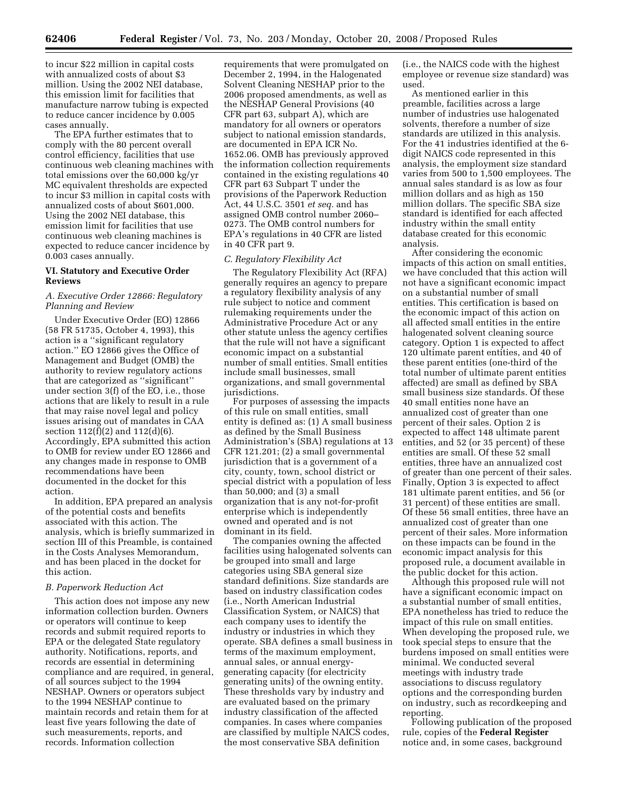to incur \$22 million in capital costs with annualized costs of about \$3 million. Using the 2002 NEI database, this emission limit for facilities that manufacture narrow tubing is expected to reduce cancer incidence by 0.005 cases annually.

The EPA further estimates that to comply with the 80 percent overall control efficiency, facilities that use continuous web cleaning machines with total emissions over the 60,000 kg/yr MC equivalent thresholds are expected to incur \$3 million in capital costs with annualized costs of about \$601,000. Using the 2002 NEI database, this emission limit for facilities that use continuous web cleaning machines is expected to reduce cancer incidence by 0.003 cases annually.

#### **VI. Statutory and Executive Order Reviews**

#### *A. Executive Order 12866: Regulatory Planning and Review*

Under Executive Order (EO) 12866 (58 FR 51735, October 4, 1993), this action is a ''significant regulatory action.'' EO 12866 gives the Office of Management and Budget (OMB) the authority to review regulatory actions that are categorized as ''significant'' under section 3(f) of the EO, i.e., those actions that are likely to result in a rule that may raise novel legal and policy issues arising out of mandates in CAA section 112(f)(2) and 112(d)(6). Accordingly, EPA submitted this action to OMB for review under EO 12866 and any changes made in response to OMB recommendations have been documented in the docket for this action.

In addition, EPA prepared an analysis of the potential costs and benefits associated with this action. The analysis, which is briefly summarized in section III of this Preamble, is contained in the Costs Analyses Memorandum, and has been placed in the docket for this action.

#### *B. Paperwork Reduction Act*

This action does not impose any new information collection burden. Owners or operators will continue to keep records and submit required reports to EPA or the delegated State regulatory authority. Notifications, reports, and records are essential in determining compliance and are required, in general, of all sources subject to the 1994 NESHAP. Owners or operators subject to the 1994 NESHAP continue to maintain records and retain them for at least five years following the date of such measurements, reports, and records. Information collection

requirements that were promulgated on December 2, 1994, in the Halogenated Solvent Cleaning NESHAP prior to the 2006 proposed amendments, as well as the NESHAP General Provisions (40 CFR part 63, subpart A), which are mandatory for all owners or operators subject to national emission standards, are documented in EPA ICR No. 1652.06. OMB has previously approved the information collection requirements contained in the existing regulations 40 CFR part 63 Subpart T under the provisions of the Paperwork Reduction Act, 44 U.S.C. 3501 *et seq.* and has assigned OMB control number 2060– 0273. The OMB control numbers for EPA's regulations in 40 CFR are listed in 40 CFR part 9.

#### *C. Regulatory Flexibility Act*

The Regulatory Flexibility Act (RFA) generally requires an agency to prepare a regulatory flexibility analysis of any rule subject to notice and comment rulemaking requirements under the Administrative Procedure Act or any other statute unless the agency certifies that the rule will not have a significant economic impact on a substantial number of small entities. Small entities include small businesses, small organizations, and small governmental jurisdictions.

For purposes of assessing the impacts of this rule on small entities, small entity is defined as: (1) A small business as defined by the Small Business Administration's (SBA) regulations at 13 CFR 121.201; (2) a small governmental jurisdiction that is a government of a city, county, town, school district or special district with a population of less than 50,000; and (3) a small organization that is any not-for-profit enterprise which is independently owned and operated and is not dominant in its field.

The companies owning the affected facilities using halogenated solvents can be grouped into small and large categories using SBA general size standard definitions. Size standards are based on industry classification codes (i.e., North American Industrial Classification System, or NAICS) that each company uses to identify the industry or industries in which they operate. SBA defines a small business in terms of the maximum employment, annual sales, or annual energygenerating capacity (for electricity generating units) of the owning entity. These thresholds vary by industry and are evaluated based on the primary industry classification of the affected companies. In cases where companies are classified by multiple NAICS codes, the most conservative SBA definition

(i.e., the NAICS code with the highest employee or revenue size standard) was used.

As mentioned earlier in this preamble, facilities across a large number of industries use halogenated solvents, therefore a number of size standards are utilized in this analysis. For the 41 industries identified at the 6 digit NAICS code represented in this analysis, the employment size standard varies from 500 to 1,500 employees. The annual sales standard is as low as four million dollars and as high as 150 million dollars. The specific SBA size standard is identified for each affected industry within the small entity database created for this economic analysis.

After considering the economic impacts of this action on small entities, we have concluded that this action will not have a significant economic impact on a substantial number of small entities. This certification is based on the economic impact of this action on all affected small entities in the entire halogenated solvent cleaning source category. Option 1 is expected to affect 120 ultimate parent entities, and 40 of these parent entities (one-third of the total number of ultimate parent entities affected) are small as defined by SBA small business size standards. Of these 40 small entities none have an annualized cost of greater than one percent of their sales. Option 2 is expected to affect 148 ultimate parent entities, and 52 (or 35 percent) of these entities are small. Of these 52 small entities, three have an annualized cost of greater than one percent of their sales. Finally, Option 3 is expected to affect 181 ultimate parent entities, and 56 (or 31 percent) of these entities are small. Of these 56 small entities, three have an annualized cost of greater than one percent of their sales. More information on these impacts can be found in the economic impact analysis for this proposed rule, a document available in the public docket for this action.

Although this proposed rule will not have a significant economic impact on a substantial number of small entities, EPA nonetheless has tried to reduce the impact of this rule on small entities. When developing the proposed rule, we took special steps to ensure that the burdens imposed on small entities were minimal. We conducted several meetings with industry trade associations to discuss regulatory options and the corresponding burden on industry, such as recordkeeping and reporting.

Following publication of the proposed rule, copies of the **Federal Register**  notice and, in some cases, background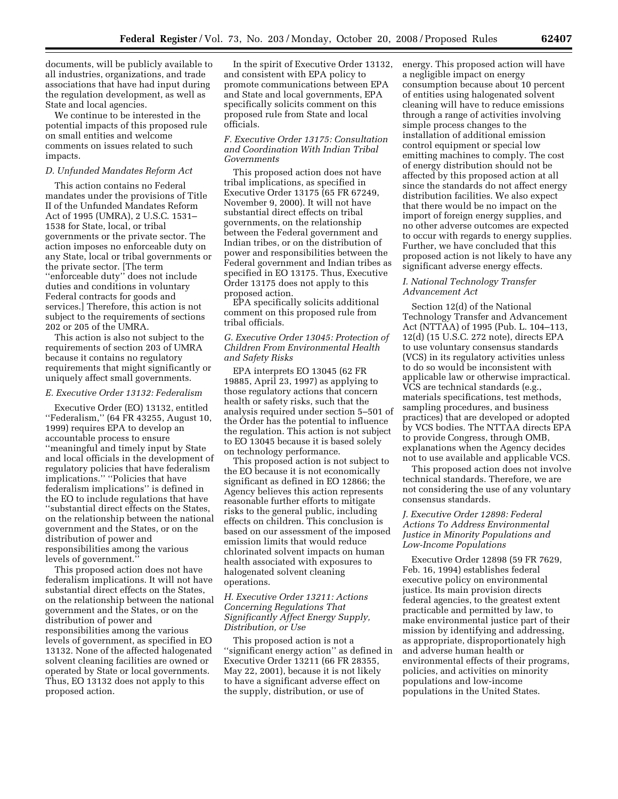documents, will be publicly available to all industries, organizations, and trade associations that have had input during the regulation development, as well as State and local agencies.

We continue to be interested in the potential impacts of this proposed rule on small entities and welcome comments on issues related to such impacts.

#### *D. Unfunded Mandates Reform Act*

This action contains no Federal mandates under the provisions of Title II of the Unfunded Mandates Reform Act of 1995 (UMRA), 2 U.S.C. 1531– 1538 for State, local, or tribal governments or the private sector. The action imposes no enforceable duty on any State, local or tribal governments or the private sector. [The term ''enforceable duty'' does not include duties and conditions in voluntary Federal contracts for goods and services.] Therefore, this action is not subject to the requirements of sections 202 or 205 of the UMRA.

This action is also not subject to the requirements of section 203 of UMRA because it contains no regulatory requirements that might significantly or uniquely affect small governments.

#### *E. Executive Order 13132: Federalism*

Executive Order (EO) 13132, entitled ''Federalism,'' (64 FR 43255, August 10, 1999) requires EPA to develop an accountable process to ensure ''meaningful and timely input by State and local officials in the development of regulatory policies that have federalism implications.'' ''Policies that have federalism implications'' is defined in the EO to include regulations that have ''substantial direct effects on the States, on the relationship between the national government and the States, or on the distribution of power and responsibilities among the various levels of government.''

This proposed action does not have federalism implications. It will not have substantial direct effects on the States, on the relationship between the national government and the States, or on the distribution of power and responsibilities among the various levels of government, as specified in EO 13132. None of the affected halogenated solvent cleaning facilities are owned or operated by State or local governments. Thus, EO 13132 does not apply to this proposed action.

In the spirit of Executive Order 13132, and consistent with EPA policy to promote communications between EPA and State and local governments, EPA specifically solicits comment on this proposed rule from State and local officials.

#### *F. Executive Order 13175: Consultation and Coordination With Indian Tribal Governments*

This proposed action does not have tribal implications, as specified in Executive Order 13175 (65 FR 67249, November 9, 2000). It will not have substantial direct effects on tribal governments, on the relationship between the Federal government and Indian tribes, or on the distribution of power and responsibilities between the Federal government and Indian tribes as specified in EO 13175. Thus, Executive Order 13175 does not apply to this proposed action.

EPA specifically solicits additional comment on this proposed rule from tribal officials.

#### *G. Executive Order 13045: Protection of Children From Environmental Health and Safety Risks*

EPA interprets EO 13045 (62 FR 19885, April 23, 1997) as applying to those regulatory actions that concern health or safety risks, such that the analysis required under section 5–501 of the Order has the potential to influence the regulation. This action is not subject to EO 13045 because it is based solely on technology performance.

This proposed action is not subject to the EO because it is not economically significant as defined in EO 12866; the Agency believes this action represents reasonable further efforts to mitigate risks to the general public, including effects on children. This conclusion is based on our assessment of the imposed emission limits that would reduce chlorinated solvent impacts on human health associated with exposures to halogenated solvent cleaning operations.

#### *H. Executive Order 13211: Actions Concerning Regulations That Significantly Affect Energy Supply, Distribution, or Use*

This proposed action is not a ''significant energy action'' as defined in Executive Order 13211 (66 FR 28355, May 22, 2001), because it is not likely to have a significant adverse effect on the supply, distribution, or use of

energy. This proposed action will have a negligible impact on energy consumption because about 10 percent of entities using halogenated solvent cleaning will have to reduce emissions through a range of activities involving simple process changes to the installation of additional emission control equipment or special low emitting machines to comply. The cost of energy distribution should not be affected by this proposed action at all since the standards do not affect energy distribution facilities. We also expect that there would be no impact on the import of foreign energy supplies, and no other adverse outcomes are expected to occur with regards to energy supplies. Further, we have concluded that this proposed action is not likely to have any significant adverse energy effects.

#### *I. National Technology Transfer Advancement Act*

Section 12(d) of the National Technology Transfer and Advancement Act (NTTAA) of 1995 (Pub. L. 104–113, 12(d) (15 U.S.C. 272 note), directs EPA to use voluntary consensus standards (VCS) in its regulatory activities unless to do so would be inconsistent with applicable law or otherwise impractical. VCS are technical standards (e.g., materials specifications, test methods, sampling procedures, and business practices) that are developed or adopted by VCS bodies. The NTTAA directs EPA to provide Congress, through OMB, explanations when the Agency decides not to use available and applicable VCS.

This proposed action does not involve technical standards. Therefore, we are not considering the use of any voluntary consensus standards.

#### *J. Executive Order 12898: Federal Actions To Address Environmental Justice in Minority Populations and Low-Income Populations*

Executive Order 12898 (59 FR 7629, Feb. 16, 1994) establishes federal executive policy on environmental justice. Its main provision directs federal agencies, to the greatest extent practicable and permitted by law, to make environmental justice part of their mission by identifying and addressing, as appropriate, disproportionately high and adverse human health or environmental effects of their programs, policies, and activities on minority populations and low-income populations in the United States.